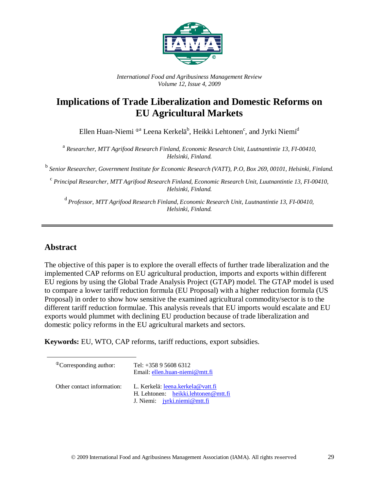

*International Food and Agribusiness Management Review Volume 12, Issue 4, 2009*

## **Implications of Trade Liberalization and Domestic Reforms on EU Agricultural Markets**

Ellen Huan-Niemi  $^{\oplus a}$  Leena Kerkelä $^{\rm b}$ , Heikki Lehtonen $^{\rm c}$ , and Jyrki Niemi $^{\rm d}$ 

<sup>a</sup> *Researcher, MTT Agrifood Research Finland, Economic Research Unit, Luutnantintie 13, FI-00410, Helsinki, Finland.*

<sup>b</sup> *Senior Researcher, Government Institute for Economic Research (VATT), P.O, Box 269, 00101, Helsinki, Finland.*

<sup>c</sup> *Principal Researcher, MTT Agrifood Research Finland, Economic Research Unit, Luutnantintie 13, FI-00410, Helsinki, Finland.*

<sup>d</sup>*Professor, MTT Agrifood Research Finland, Economic Research Unit, Luutnantintie 13, FI-00410, Helsinki, Finland.*

### **Abstract**

The objective of this paper is to explore the overall effects of further trade liberalization and the implemented CAP reforms on EU agricultural production, imports and exports within different EU regions by using the Global Trade Analysis Project (GTAP) model. The GTAP model is used to compare a lower tariff reduction formula (EU Proposal) with a higher reduction formula (US Proposal) in order to show how sensitive the examined agricultural commodity/sector is to the different tariff reduction formulae. This analysis reveals that EU imports would escalate and EU exports would plummet with declining EU production because of trade liberalization and domestic policy reforms in the EU agricultural markets and sectors.

**Keywords:** EU, WTO, CAP reforms, tariff reductions, export subsidies.

| <sup>®</sup> Corresponding author: | Tel: $+358956086312$<br>Email: ellen.huan-niemi@mtt.fi                                                      |
|------------------------------------|-------------------------------------------------------------------------------------------------------------|
| Other contact information:         | L. Kerkelä: leena.kerkela@vatt.fi<br>H. Lehtonen: heikki.lehtonen@mtt.fi<br>J. Niemi: $j$ yrki.niemi@mtt.fi |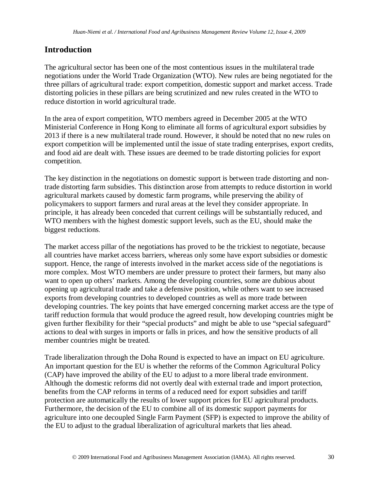## **Introduction**

The agricultural sector has been one of the most contentious issues in the multilateral trade negotiations under the World Trade Organization (WTO). New rules are being negotiated for the three pillars of agricultural trade: export competition, domestic support and market access. Trade distorting policies in these pillars are being scrutinized and new rules created in the WTO to reduce distortion in world agricultural trade.

In the area of export competition, WTO members agreed in December 2005 at the WTO Ministerial Conference in Hong Kong to eliminate all forms of agricultural export subsidies by 2013 if there is a new multilateral trade round. However, it should be noted that no new rules on export competition will be implemented until the issue of state trading enterprises, export credits, and food aid are dealt with. These issues are deemed to be trade distorting policies for export competition.

The key distinction in the negotiations on domestic support is between trade distorting and nontrade distorting farm subsidies. This distinction arose from attempts to reduce distortion in world agricultural markets caused by domestic farm programs, while preserving the ability of policymakers to support farmers and rural areas at the level they consider appropriate. In principle, it has already been conceded that current ceilings will be substantially reduced, and WTO members with the highest domestic support levels, such as the EU, should make the biggest reductions.

The market access pillar of the negotiations has proved to be the trickiest to negotiate, because all countries have market access barriers, whereas only some have export subsidies or domestic support. Hence, the range of interests involved in the market access side of the negotiations is more complex. Most WTO members are under pressure to protect their farmers, but many also want to open up others' markets. Among the developing countries, some are dubious about opening up agricultural trade and take a defensive position, while others want to see increased exports from developing countries to developed countries as well as more trade between developing countries. The key points that have emerged concerning market access are the type of tariff reduction formula that would produce the agreed result, how developing countries might be given further flexibility for their "special products" and might be able to use "special safeguard" actions to deal with surges in imports or falls in prices, and how the sensitive products of all member countries might be treated.

Trade liberalization through the Doha Round is expected to have an impact on EU agriculture. An important question for the EU is whether the reforms of the Common Agricultural Policy (CAP) have improved the ability of the EU to adjust to a more liberal trade environment. Although the domestic reforms did not overtly deal with external trade and import protection, benefits from the CAP reforms in terms of a reduced need for export subsidies and tariff protection are automatically the results of lower support prices for EU agricultural products. Furthermore, the decision of the EU to combine all of its domestic support payments for agriculture into one decoupled Single Farm Payment (SFP) is expected to improve the ability of the EU to adjust to the gradual liberalization of agricultural markets that lies ahead.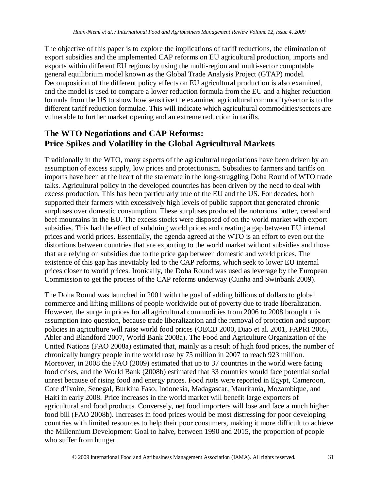The objective of this paper is to explore the implications of tariff reductions, the elimination of export subsidies and the implemented CAP reforms on EU agricultural production, imports and exports within different EU regions by using the multi-region and multi-sector computable general equilibrium model known as the Global Trade Analysis Project (GTAP) model. Decomposition of the different policy effects on EU agricultural production is also examined, and the model is used to compare a lower reduction formula from the EU and a higher reduction formula from the US to show how sensitive the examined agricultural commodity/sector is to the different tariff reduction formulae. This will indicate which agricultural commodities/sectors are vulnerable to further market opening and an extreme reduction in tariffs.

## **The WTO Negotiations and CAP Reforms: Price Spikes and Volatility in the Global Agricultural Markets**

Traditionally in the WTO, many aspects of the agricultural negotiations have been driven by an assumption of excess supply, low prices and protectionism. Subsidies to farmers and tariffs on imports have been at the heart of the stalemate in the long-struggling Doha Round of WTO trade talks. Agricultural policy in the developed countries has been driven by the need to deal with excess production. This has been particularly true of the EU and the US. For decades, both supported their farmers with excessively high levels of public support that generated chronic surpluses over domestic consumption. These surpluses produced the notorious butter, cereal and beef mountains in the EU. The excess stocks were disposed of on the world market with export subsidies. This had the effect of subduing world prices and creating a gap between EU internal prices and world prices. Essentially, the agenda agreed at the WTO is an effort to even out the distortions between countries that are exporting to the world market without subsidies and those that are relying on subsidies due to the price gap between domestic and world prices. The existence of this gap has inevitably led to the CAP reforms, which seek to lower EU internal prices closer to world prices. Ironically, the Doha Round was used as leverage by the European Commission to get the process of the CAP reforms underway (Cunha and Swinbank 2009).

The Doha Round was launched in 2001 with the goal of adding billions of dollars to global commerce and lifting millions of people worldwide out of poverty due to trade liberalization. However, the surge in prices for all agricultural commodities from 2006 to 2008 brought this assumption into question, because trade liberalization and the removal of protection and support policies in agriculture will raise world food prices (OECD 2000, Diao et al. 2001, FAPRI 2005, Abler and Blandford 2007, World Bank 2008a). The Food and Agriculture Organization of the United Nations (FAO 2008a) estimated that, mainly as a result of high food prices, the number of chronically hungry people in the world rose by 75 million in 2007 to reach 923 million. Moreover, in 2008 the FAO (2009) estimated that up to 37 countries in the world were facing food crises, and the World Bank (2008b) estimated that 33 countries would face potential social unrest because of rising food and energy prices. Food riots were reported in Egypt, Cameroon, Cote d'Ivoire, Senegal, Burkina Faso, Indonesia, Madagascar, Mauritania, Mozambique, and Haiti in early 2008. Price increases in the world market will benefit large exporters of agricultural and food products. Conversely, net food importers will lose and face a much higher food bill (FAO 2008b). Increases in food prices would be most distressing for poor developing countries with limited resources to help their poor consumers, making it more difficult to achieve the Millennium Development Goal to halve, between 1990 and 2015, the proportion of people who suffer from hunger.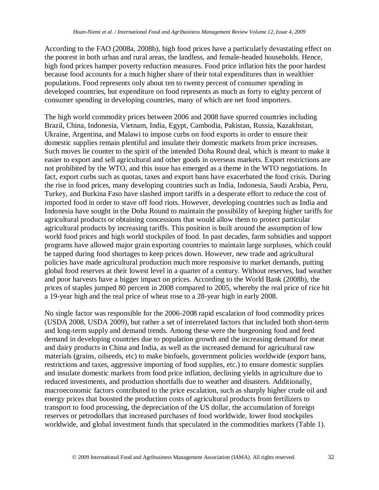According to the FAO (2008a, 2008b), high food prices have a particularly devastating effect on the poorest in both urban and rural areas, the landless, and female-headed households. Hence, high food prices hamper poverty reduction measures. Food price inflation hits the poor hardest because food accounts for a much higher share of their total expenditures than in wealthier populations. Food represents only about ten to twenty percent of consumer spending in developed countries, but expenditure on food represents as much as forty to eighty percent of consumer spending in developing countries, many of which are net food importers.

The high world commodity prices between 2006 and 2008 have spurred countries including Brazil, China, Indonesia, Vietnam, India, Egypt, Cambodia, Pakistan, Russia, Kazakhstan, Ukraine, Argentina, and Malawi to impose curbs on food exports in order to ensure their domestic supplies remain plentiful and insulate their domestic markets from price increases. Such moves lie counter to the spirit of the intended Doha Round deal, which is meant to make it easier to export and sell agricultural and other goods in overseas markets. Export restrictions are not prohibited by the WTO, and this issue has emerged as a theme in the WTO negotiations. In fact, export curbs such as quotas, taxes and export bans have exacerbated the food crisis. During the rise in food prices, many developing countries such as India, Indonesia, Saudi Arabia, Peru, Turkey, and Burkina Faso have slashed import tariffs in a desperate effort to reduce the cost of imported food in order to stave off food riots. However, developing countries such as India and Indonesia have sought in the Doha Round to maintain the possibility of keeping higher tariffs for agricultural products or obtaining concessions that would allow them to protect particular agricultural products by increasing tariffs. This position is built around the assumption of low world food prices and high world stockpiles of food. In past decades, farm subsidies and support programs have allowed major grain exporting countries to maintain large surpluses, which could be tapped during food shortages to keep prices down. However, new trade and agricultural policies have made agricultural production much more responsive to market demands, putting global food reserves at their lowest level in a quarter of a century. Without reserves, bad weather and poor harvests have a bigger impact on prices. According to the World Bank (2008b), the prices of staples jumped 80 percent in 2008 compared to 2005, whereby the real price of rice hit a 19-year high and the real price of wheat rose to a 28-year high in early 2008.

No single factor was responsible for the 2006-2008 rapid escalation of food commodity prices (USDA 2008, USDA 2009), but rather a set of interrelated factors that included both short-term and long-term supply and demand trends. Among these were the burgeoning food and feed demand in developing countries due to population growth and the increasing demand for meat and dairy products in China and India, as well as the increased demand for agricultural raw materials (grains, oilseeds, etc) to make biofuels, government policies worldwide (export bans, restrictions and taxes, aggressive importing of food supplies, etc.) to ensure domestic supplies and insulate domestic markets from food price inflation, declining yields in agriculture due to reduced investments, and production shortfalls due to weather and disasters. Additionally, macroeconomic factors contributed to the price escalation, such as sharply higher crude oil and energy prices that boosted the production costs of agricultural products from fertilizers to transport to food processing, the depreciation of the US dollar, the accumulation of foreign reserves or petrodollars that increased purchases of food worldwide, lower food stockpiles worldwide, and global investment funds that speculated in the commodities markets (Table 1).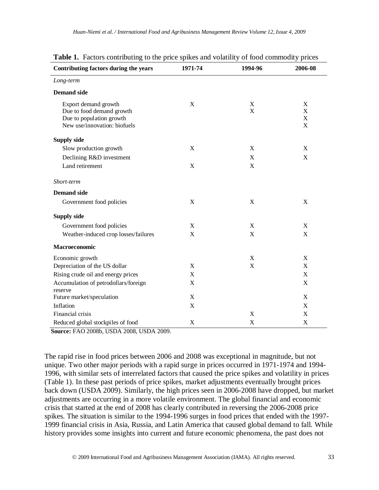| Table 1. Factors contributing to the price spikes and volatility of food commodity prices<br>1994-96<br>2006-08 |                  |        |                  |  |  |  |  |  |  |  |  |
|-----------------------------------------------------------------------------------------------------------------|------------------|--------|------------------|--|--|--|--|--|--|--|--|
| Contributing factors during the years                                                                           | 1971-74          |        |                  |  |  |  |  |  |  |  |  |
| Long-term                                                                                                       |                  |        |                  |  |  |  |  |  |  |  |  |
| <b>Demand</b> side                                                                                              |                  |        |                  |  |  |  |  |  |  |  |  |
| Export demand growth<br>Due to food demand growth<br>Due to population growth<br>New use/innovation: biofuels   | X                | X<br>X | X<br>X<br>X<br>X |  |  |  |  |  |  |  |  |
| <b>Supply side</b>                                                                                              |                  |        |                  |  |  |  |  |  |  |  |  |
| Slow production growth                                                                                          | $\mathbf X$      | X      | X                |  |  |  |  |  |  |  |  |
| Declining R&D investment                                                                                        |                  | X      | X                |  |  |  |  |  |  |  |  |
| Land retirement                                                                                                 | $\boldsymbol{X}$ | X      |                  |  |  |  |  |  |  |  |  |
| Short-term                                                                                                      |                  |        |                  |  |  |  |  |  |  |  |  |
| <b>Demand</b> side                                                                                              |                  |        |                  |  |  |  |  |  |  |  |  |
| Government food policies                                                                                        | X                | X      | X                |  |  |  |  |  |  |  |  |
| <b>Supply side</b>                                                                                              |                  |        |                  |  |  |  |  |  |  |  |  |
| Government food policies                                                                                        | $\mathbf X$      | X      | X                |  |  |  |  |  |  |  |  |
| Weather-induced crop losses/failures                                                                            | $\mathbf X$      | X      | X                |  |  |  |  |  |  |  |  |
| Macroeconomic                                                                                                   |                  |        |                  |  |  |  |  |  |  |  |  |
| Economic growth                                                                                                 |                  | X      | X                |  |  |  |  |  |  |  |  |
| Depreciation of the US dollar                                                                                   | X                | X      | X                |  |  |  |  |  |  |  |  |
| Rising crude oil and energy prices                                                                              | X                |        | X                |  |  |  |  |  |  |  |  |
| Accumulation of petrodollars/foreign<br>reserve                                                                 | X                |        | X                |  |  |  |  |  |  |  |  |
| Future market/speculation                                                                                       | X                |        | X                |  |  |  |  |  |  |  |  |
| Inflation                                                                                                       | X                |        | X                |  |  |  |  |  |  |  |  |
| Financial crisis                                                                                                |                  | X      | X                |  |  |  |  |  |  |  |  |

 **Source:** FAO 2008b, USDA 2008, USDA 2009.

The rapid rise in food prices between 2006 and 2008 was exceptional in magnitude, but not unique. Two other major periods with a rapid surge in prices occurred in 1971-1974 and 1994- 1996, with similar sets of interrelated factors that caused the price spikes and volatility in prices (Table 1). In these past periods of price spikes, market adjustments eventually brought prices back down (USDA 2009). Similarly, the high prices seen in 2006-2008 have dropped, but market adjustments are occurring in a more volatile environment. The global financial and economic crisis that started at the end of 2008 has clearly contributed in reversing the 2006-2008 price spikes. The situation is similar to the 1994-1996 surges in food prices that ended with the 1997- 1999 financial crisis in Asia, Russia, and Latin America that caused global demand to fall. While history provides some insights into current and future economic phenomena, the past does not

Reduced global stockpiles of food X X X X X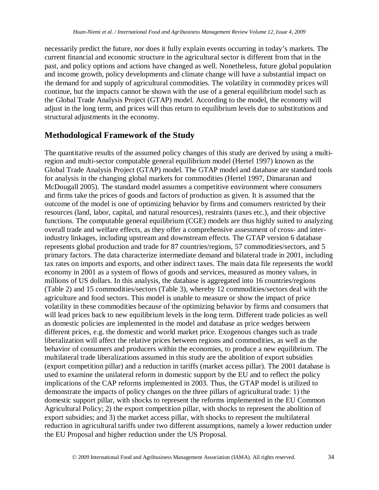necessarily predict the future, nor does it fully explain events occurring in today's markets. The current financial and economic structure in the agricultural sector is different from that in the past, and policy options and actions have changed as well. Nonetheless, future global population and income growth, policy developments and climate change will have a substantial impact on the demand for and supply of agricultural commodities. The volatility in commodity prices will continue, but the impacts cannot be shown with the use of a general equilibrium model such as the Global Trade Analysis Project (GTAP) model. According to the model, the economy will adjust in the long term, and prices will thus return to equilibrium levels due to substitutions and structural adjustments in the economy.

### **Methodological Framework of the Study**

The quantitative results of the assumed policy changes of this study are derived by using a multiregion and multi-sector computable general equilibrium model (Hertel 1997) known as the Global Trade Analysis Project (GTAP) model. The GTAP model and database are standard tools for analysis in the changing global markets for commodities (Hertel 1997, Dimaranan and McDougall 2005). The standard model assumes a competitive environment where consumers and firms take the prices of goods and factors of production as given. It is assumed that the outcome of the model is one of optimizing behavior by firms and consumers restricted by their resources (land, labor, capital, and natural resources), restraints (taxes etc.), and their objective functions. The computable general equilibrium (CGE) models are thus highly suited to analyzing overall trade and welfare effects, as they offer a comprehensive assessment of cross- and interindustry linkages, including upstream and downstream effects. The GTAP version 6 database represents global production and trade for 87 countries/regions, 57 commodities/sectors, and 5 primary factors. The data characterize intermediate demand and bilateral trade in 2001, including tax rates on imports and exports, and other indirect taxes. The main data file represents the world economy in 2001 as a system of flows of goods and services, measured as money values, in millions of US dollars. In this analysis, the database is aggregated into 16 countries/regions (Table 2) and 15 commodities/sectors (Table 3), whereby 12 commodities/sectors deal with the agriculture and food sectors. This model is unable to measure or show the impact of price volatility in these commodities because of the optimizing behavior by firms and consumers that will lead prices back to new equilibrium levels in the long term. Different trade policies as well as domestic policies are implemented in the model and database as price wedges between different prices, e.g. the domestic and world market price. Exogenous changes such as trade liberalization will affect the relative prices between regions and commodities, as well as the behavior of consumers and producers within the economies, to produce a new equilibrium. The multilateral trade liberalizations assumed in this study are the abolition of export subsidies (export competition pillar) and a reduction in tariffs (market access pillar). The 2001 database is used to examine the unilateral reform in domestic support by the EU and to reflect the policy implications of the CAP reforms implemented in 2003. Thus, the GTAP model is utilized to demonstrate the impacts of policy changes on the three pillars of agricultural trade: 1) the domestic support pillar, with shocks to represent the reforms implemented in the EU Common Agricultural Policy; 2) the export competition pillar, with shocks to represent the abolition of export subsidies; and 3) the market access pillar, with shocks to represent the multilateral reduction in agricultural tariffs under two different assumptions, namely a lower reduction under the EU Proposal and higher reduction under the US Proposal.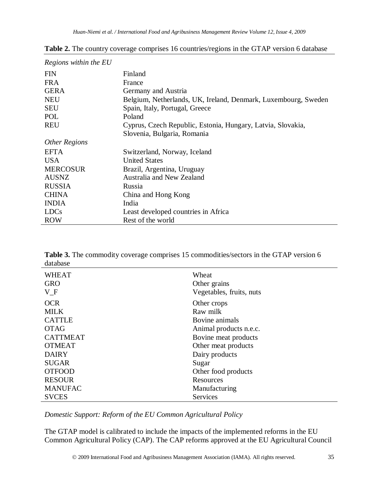| Regions within the EU |                                                                |
|-----------------------|----------------------------------------------------------------|
| <b>FIN</b>            | Finland                                                        |
| <b>FRA</b>            | France                                                         |
| <b>GERA</b>           | Germany and Austria                                            |
| <b>NEU</b>            | Belgium, Netherlands, UK, Ireland, Denmark, Luxembourg, Sweden |
| <b>SEU</b>            | Spain, Italy, Portugal, Greece                                 |
| POL                   | Poland                                                         |
| <b>REU</b>            | Cyprus, Czech Republic, Estonia, Hungary, Latvia, Slovakia,    |
|                       | Slovenia, Bulgaria, Romania                                    |
| <b>Other Regions</b>  |                                                                |
| <b>EFTA</b>           | Switzerland, Norway, Iceland                                   |
| <b>USA</b>            | <b>United States</b>                                           |
| <b>MERCOSUR</b>       | Brazil, Argentina, Uruguay                                     |
| <b>AUSNZ</b>          | Australia and New Zealand                                      |
| <b>RUSSIA</b>         | <b>Russia</b>                                                  |
| <b>CHINA</b>          | China and Hong Kong                                            |
| <b>INDIA</b>          | India                                                          |
| <b>LDCs</b>           | Least developed countries in Africa                            |
| <b>ROW</b>            | Rest of the world                                              |

**Table 2.** The country coverage comprises 16 countries/regions in the GTAP version 6 database

**Table 3.** The commodity coverage comprises 15 commodities/sectors in the GTAP version 6 database

| <b>WHEAT</b><br><b>GRO</b><br>$V_F$ | Wheat<br>Other grains<br>Vegetables, fruits, nuts |
|-------------------------------------|---------------------------------------------------|
| <b>OCR</b>                          | Other crops                                       |
| <b>MILK</b>                         | Raw milk                                          |
| <b>CATTLE</b>                       | Bovine animals                                    |
| <b>OTAG</b>                         | Animal products n.e.c.                            |
| <b>CATTMEAT</b>                     | Bovine meat products                              |
| <b>OTMEAT</b>                       | Other meat products                               |
| <b>DAIRY</b>                        | Dairy products                                    |
| <b>SUGAR</b>                        | Sugar                                             |
| <b>OTFOOD</b>                       | Other food products                               |
| <b>RESOUR</b>                       | Resources                                         |
| <b>MANUFAC</b>                      | Manufacturing                                     |
| <b>SVCES</b>                        | <b>Services</b>                                   |

*Domestic Support: Reform of the EU Common Agricultural Policy*

The GTAP model is calibrated to include the impacts of the implemented reforms in the EU Common Agricultural Policy (CAP). The CAP reforms approved at the EU Agricultural Council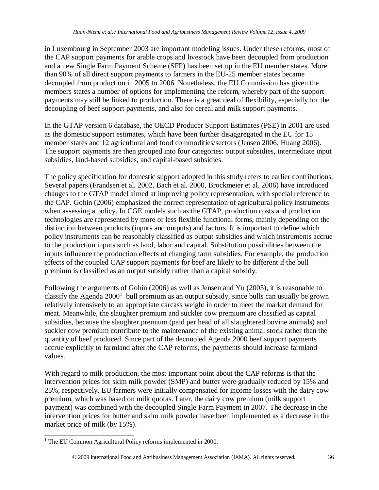in Luxembourg in September 2003 are important modeling issues. Under these reforms, most of the CAP support payments for arable crops and livestock have been decoupled from production and a new Single Farm Payment Scheme (SFP) has been set up in the EU member states. More than 90% of all direct support payments to farmers in the EU-25 member states became decoupled from production in 2005 to 2006. Nonetheless, the EU Commission has given the members states a number of options for implementing the reform, whereby part of the support payments may still be linked to production. There is a great deal of flexibility, especially for the decoupling of beef support payments, and also for cereal and milk support payments.

In the GTAP version 6 database, the OECD Producer Support Estimates (PSE) in 2001 are used as the domestic support estimates, which have been further disaggregated in the EU for 15 member states and 12 agricultural and food commodities/sectors (Jensen 2006, Huang 2006). The support payments are then grouped into four categories: output subsidies, intermediate input subsidies, land-based subsidies, and capital-based subsidies.

The policy specification for domestic support adopted in this study refers to earlier contributions. Several papers (Frandsen et al. 2002, Bach et al. 2000, Brockmeier et al. 2006) have introduced changes to the GTAP model aimed at improving policy representation, with special reference to the CAP. Gohin (2006) emphasized the correct representation of agricultural policy instruments when assessing a policy. In CGE models such as the GTAP, production costs and production technologies are represented by more or less flexible functional forms, mainly depending on the distinction between products (inputs and outputs) and factors. It is important to define which policy instruments can be reasonably classified as output subsidies and which instruments accrue to the production inputs such as land, labor and capital. Substitution possibilities between the inputs influence the production effects of changing farm subsidies. For example, the production effects of the coupled CAP support payments for beef are likely to be different if the bull premium is classified as an output subsidy rather than a capital subsidy.

Following the arguments of Gohin (2006) as well as Jensen and Yu (2005), it is reasonable to classify the Agenda  $2000<sup>1</sup>$  $2000<sup>1</sup>$  $2000<sup>1</sup>$  bull premium as an output subsidy, since bulls can usually be grown relatively intensively to an appropriate carcass weight in order to meet the market demand for meat. Meanwhile, the slaughter premium and suckler cow premium are classified as capital subsidies, because the slaughter premium (paid per head of all slaughtered bovine animals) and suckler cow premium contribute to the maintenance of the existing animal stock rather than the quantity of beef produced. Since part of the decoupled Agenda 2000 beef support payments accrue explicitly to farmland after the CAP reforms, the payments should increase farmland values.

With regard to milk production, the most important point about the CAP reforms is that the intervention prices for skim milk powder (SMP) and butter were gradually reduced by 15% and 25%, respectively. EU farmers were initially compensated for income losses with the dairy cow premium, which was based on milk quotas. Later, the dairy cow premium (milk support payment) was combined with the decoupled Single Farm Payment in 2007. The decrease in the intervention prices for butter and skim milk powder have been implemented as a decrease in the market price of milk (by 15%).

<span id="page-7-0"></span><sup>&</sup>lt;sup>1</sup> The EU Common Agricultural Policy reforms implemented in 2000.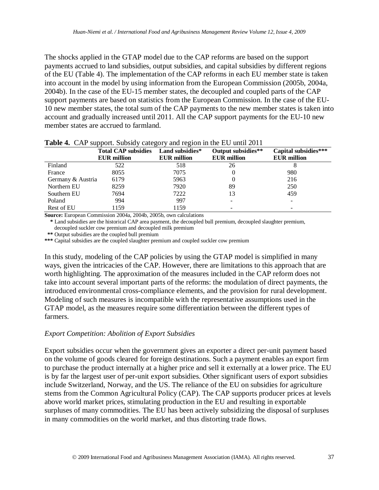The shocks applied in the GTAP model due to the CAP reforms are based on the support payments accrued to land subsidies, output subsidies, and capital subsidies by different regions of the EU (Table 4). The implementation of the CAP reforms in each EU member state is taken into account in the model by using information from the European Commission (2005b, 2004a, 2004b). In the case of the EU-15 member states, the decoupled and coupled parts of the CAP support payments are based on statistics from the European Commission. In the case of the EU-10 new member states, the total sum of the CAP payments to the new member states is taken into account and gradually increased until 2011. All the CAP support payments for the EU-10 new member states are accrued to farmland.

|                   | <b>Total CAP subsidies</b><br><b>EUR</b> million | Land subsidies*<br><b>EUR</b> million | Output subsidies**<br><b>EUR</b> million | Capital subsidies***<br><b>EUR</b> million |
|-------------------|--------------------------------------------------|---------------------------------------|------------------------------------------|--------------------------------------------|
| Finland           | 522                                              | 518                                   | 26                                       |                                            |
| France            | 8055                                             | 7075                                  |                                          | 980                                        |
| Germany & Austria | 6179                                             | 5963                                  |                                          | 216                                        |
| Northern EU       | 8259                                             | 7920                                  | 89                                       | 250                                        |
| Southern EU       | 7694                                             | 7222                                  | 13                                       | 459                                        |
| Poland            | 994                                              | 997                                   |                                          |                                            |
| Rest of EU        | 1159                                             | 1159                                  |                                          |                                            |

**Table 4.** CAP support. Subsidy category and region in the EU until 2011

**Source:** European Commission 2004a, 2004b, 2005b, own calculations

 **\*** Land subsidies are the historical CAP area payment, the decoupled bull premium, decoupled slaughter premium,

decoupled suckler cow premium and decoupled milk premium

 **\*\*** Output subsidies are the coupled bull premium

**\*\*\*** Capital subsidies are the coupled slaughter premium and coupled suckler cow premium

In this study, modeling of the CAP policies by using the GTAP model is simplified in many ways, given the intricacies of the CAP. However, there are limitations to this approach that are worth highlighting. The approximation of the measures included in the CAP reform does not take into account several important parts of the reforms: the modulation of direct payments, the introduced environmental cross-compliance elements, and the provision for rural development. Modeling of such measures is incompatible with the representative assumptions used in the GTAP model, as the measures require some differentiation between the different types of farmers.

#### *Export Competition: Abolition of Export Subsidies*

Export subsidies occur when the government gives an exporter a direct per-unit payment based on the volume of goods cleared for foreign destinations. Such a payment enables an export firm to purchase the product internally at a higher price and sell it externally at a lower price. The EU is by far the largest user of per-unit export subsidies. Other significant users of export subsidies include Switzerland, Norway, and the US. The reliance of the EU on subsidies for agriculture stems from the Common Agricultural Policy (CAP). The CAP supports producer prices at levels above world market prices, stimulating production in the EU and resulting in exportable surpluses of many commodities. The EU has been actively subsidizing the disposal of surpluses in many commodities on the world market, and thus distorting trade flows.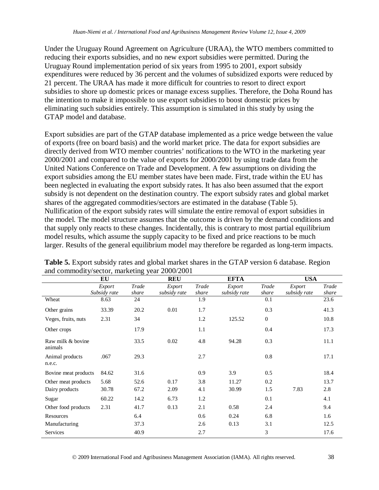Under the Uruguay Round Agreement on Agriculture (URAA), the WTO members committed to reducing their exports subsidies, and no new export subsidies were permitted. During the Uruguay Round implementation period of six years from 1995 to 2001, export subsidy expenditures were reduced by 36 percent and the volumes of subsidized exports were reduced by 21 percent. The URAA has made it more difficult for countries to resort to direct export subsidies to shore up domestic prices or manage excess supplies. Therefore, the Doha Round has the intention to make it impossible to use export subsidies to boost domestic prices by eliminating such subsidies entirely. This assumption is simulated in this study by using the GTAP model and database.

Export subsidies are part of the GTAP database implemented as a price wedge between the value of exports (free on board basis) and the world market price. The data for export subsidies are directly derived from WTO member countries' notifications to the WTO in the marketing year 2000/2001 and compared to the value of exports for 2000/2001 by using trade data from the United Nations Conference on Trade and Development. A few assumptions on dividing the export subsidies among the EU member states have been made. First, trade within the EU has been neglected in evaluating the export subsidy rates. It has also been assumed that the export subsidy is not dependent on the destination country. The export subsidy rates and global market shares of the aggregated commodities/sectors are estimated in the database (Table 5). Nullification of the export subsidy rates will simulate the entire removal of export subsidies in the model. The model structure assumes that the outcome is driven by the demand conditions and that supply only reacts to these changes. Incidentally, this is contrary to most partial equilibrium model results, which assume the supply capacity to be fixed and price reactions to be much larger. Results of the general equilibrium model may therefore be regarded as long-term impacts.

|                              | EU                     |                | <b>REU</b>             |                | <b>EFTA</b>            |                | <b>USA</b>             |                |  |  |
|------------------------------|------------------------|----------------|------------------------|----------------|------------------------|----------------|------------------------|----------------|--|--|
|                              | Export<br>Subsidy rate | Trade<br>share | Export<br>subsidy rate | Trade<br>share | Export<br>subsidy rate | Trade<br>share | Export<br>subsidy rate | Trade<br>share |  |  |
| Wheat                        | 8.63                   | 24             |                        | 1.9            |                        | 0.1            |                        | 23.6           |  |  |
| Other grains                 | 33.39                  | 20.2           | 0.01                   | 1.7            |                        | 0.3            |                        | 41.3           |  |  |
| Veges, fruits, nuts          | 2.31                   | 34             |                        | 1.2            | 125.52                 | $\mathbf{0}$   |                        | 10.8           |  |  |
| Other crops                  |                        | 17.9           |                        | 1.1            |                        | 0.4            |                        | 17.3           |  |  |
| Raw milk & bovine<br>animals |                        | 33.5           | 0.02                   | 4.8            | 94.28                  | 0.3            |                        | 11.1           |  |  |
| Animal products<br>n.e.c.    | .067                   | 29.3           |                        | 2.7            |                        | 0.8            |                        | 17.1           |  |  |
| Bovine meat products         | 84.62                  | 31.6           |                        | 0.9            | 3.9                    | 0.5            |                        | 18.4           |  |  |
| Other meat products          | 5.68                   | 52.6           | 0.17                   | 3.8            | 11.27                  | 0.2            |                        | 13.7           |  |  |
| Dairy products               | 30.78                  | 67.2           | 2.09                   | 4.1            | 30.99                  | 1.5            | 7.83                   | 2.8            |  |  |
| Sugar                        | 60.22                  | 14.2           | 6.73                   | 1.2            |                        | 0.1            |                        | 4.1            |  |  |
| Other food products          | 2.31                   | 41.7           | 0.13                   | 2.1            | 0.58                   | 2.4            |                        | 9.4            |  |  |
| Resources                    |                        | 6.4            |                        | 0.6            | 0.24                   | 6.8            |                        | 1.6            |  |  |
| Manufacturing                |                        | 37.3           |                        | 2.6            | 0.13                   | 3.1            |                        | 12.5           |  |  |
| <b>Services</b>              |                        | 40.9           |                        | 2.7            |                        | 3              |                        | 17.6           |  |  |

**Table 5.** Export subsidy rates and global market shares in the GTAP version 6 database. Region and commodity/sector, marketing year 2000/2001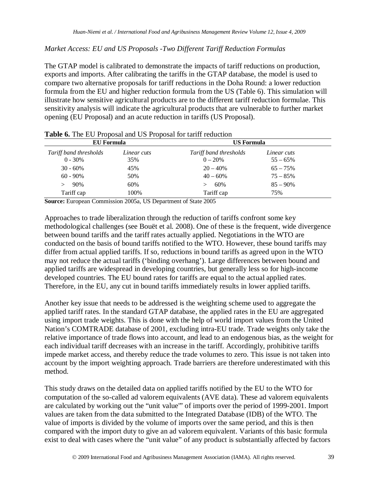*Market Access: EU and US Proposals -Two Different Tariff Reduction Formulas*

The GTAP model is calibrated to demonstrate the impacts of tariff reductions on production, exports and imports. After calibrating the tariffs in the GTAP database, the model is used to compare two alternative proposals for tariff reductions in the Doha Round: a lower reduction formula from the EU and higher reduction formula from the US (Table 6). This simulation will illustrate how sensitive agricultural products are to the different tariff reduction formulae. This sensitivity analysis will indicate the agricultural products that are vulnerable to further market opening (EU Proposal) and an acute reduction in tariffs (US Proposal).

| EU Formula             |             | <b>US Formula</b>      |             |  |  |  |  |  |  |  |
|------------------------|-------------|------------------------|-------------|--|--|--|--|--|--|--|
| Tariff band thresholds | Linear cuts | Tariff band thresholds | Linear cuts |  |  |  |  |  |  |  |
| $0 - 30\%$             | 35%         | $0 - 20\%$             | $55 - 65\%$ |  |  |  |  |  |  |  |
| $30 - 60\%$            | 45%         | $20 - 40%$             | $65 - 75%$  |  |  |  |  |  |  |  |
| $60 - 90\%$            | 50%         | $40 - 60\%$            | $75 - 85%$  |  |  |  |  |  |  |  |
| 90%                    | 60%         | 60%                    | $85 - 90\%$ |  |  |  |  |  |  |  |
| Tariff cap             | 100%        | Tariff cap             | 75%         |  |  |  |  |  |  |  |

**Table 6.** The EU Proposal and US Proposal for tariff reduction

**Source:** European Commission 2005a, US Department of State 2005

Approaches to trade liberalization through the reduction of tariffs confront some key methodological challenges (see Bouët et al. 2008). One of these is the frequent, wide divergence between bound tariffs and the tariff rates actually applied. Negotiations in the WTO are conducted on the basis of bound tariffs notified to the WTO. However, these bound tariffs may differ from actual applied tariffs. If so, reductions in bound tariffs as agreed upon in the WTO may not reduce the actual tariffs ('binding overhang'). Large differences between bound and applied tariffs are widespread in developing countries, but generally less so for high-income developed countries. The EU bound rates for tariffs are equal to the actual applied rates. Therefore, in the EU, any cut in bound tariffs immediately results in lower applied tariffs.

Another key issue that needs to be addressed is the weighting scheme used to aggregate the applied tariff rates. In the standard GTAP database, the applied rates in the EU are aggregated using import trade weights. This is done with the help of world import values from the United Nation's COMTRADE database of 2001, excluding intra-EU trade. Trade weights only take the relative importance of trade flows into account, and lead to an endogenous bias, as the weight for each individual tariff decreases with an increase in the tariff. Accordingly, prohibitive tariffs impede market access, and thereby reduce the trade volumes to zero. This issue is not taken into account by the import weighting approach. Trade barriers are therefore underestimated with this method.

This study draws on the detailed data on applied tariffs notified by the EU to the WTO for computation of the so-called ad valorem equivalents (AVE data). These ad valorem equivalents are calculated by working out the "unit value'" of imports over the period of 1999-2001. Import values are taken from the data submitted to the Integrated Database (IDB) of the WTO. The value of imports is divided by the volume of imports over the same period, and this is then compared with the import duty to give an ad valorem equivalent. Variants of this basic formula exist to deal with cases where the "unit value" of any product is substantially affected by factors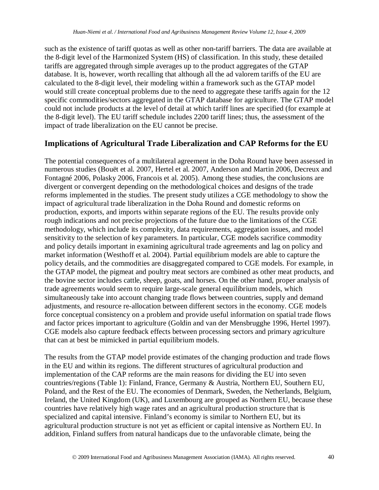such as the existence of tariff quotas as well as other non-tariff barriers. The data are available at the 8-digit level of the Harmonized System (HS) of classification. In this study, these detailed tariffs are aggregated through simple averages up to the product aggregates of the GTAP database. It is, however, worth recalling that although all the ad valorem tariffs of the EU are calculated to the 8-digit level, their modeling within a framework such as the GTAP model would still create conceptual problems due to the need to aggregate these tariffs again for the 12 specific commodities/sectors aggregated in the GTAP database for agriculture. The GTAP model could not include products at the level of detail at which tariff lines are specified (for example at the 8-digit level). The EU tariff schedule includes 2200 tariff lines; thus, the assessment of the impact of trade liberalization on the EU cannot be precise.

### **Implications of Agricultural Trade Liberalization and CAP Reforms for the EU**

The potential consequences of a multilateral agreement in the Doha Round have been assessed in numerous studies (Bouët et al. 2007, Hertel et al. 2007, Anderson and Martin 2006, Decreux and Fontagné 2006, Polasky 2006, Francois et al. 2005). Among these studies, the conclusions are divergent or convergent depending on the methodological choices and designs of the trade reforms implemented in the studies. The present study utilizes a CGE methodology to show the impact of agricultural trade liberalization in the Doha Round and domestic reforms on production, exports, and imports within separate regions of the EU. The results provide only rough indications and not precise projections of the future due to the limitations of the CGE methodology, which include its complexity, data requirements, aggregation issues, and model sensitivity to the selection of key parameters. In particular, CGE models sacrifice commodity and policy details important in examining agricultural trade agreements and lag on policy and market information (Westhoff et al. 2004). Partial equilibrium models are able to capture the policy details, and the commodities are disaggregated compared to CGE models. For example, in the GTAP model, the pigmeat and poultry meat sectors are combined as other meat products, and the bovine sector includes cattle, sheep, goats, and horses. On the other hand, proper analysis of trade agreements would seem to require large-scale general equilibrium models, which simultaneously take into account changing trade flows between countries, supply and demand adjustments, and resource re-allocation between different sectors in the economy. CGE models force conceptual consistency on a problem and provide useful information on spatial trade flows and factor prices important to agriculture (Goldin and van der Mensbrugghe 1996, Hertel 1997). CGE models also capture feedback effects between processing sectors and primary agriculture that can at best be mimicked in partial equilibrium models.

The results from the GTAP model provide estimates of the changing production and trade flows in the EU and within its regions. The different structures of agricultural production and implementation of the CAP reforms are the main reasons for dividing the EU into seven countries/regions (Table 1): Finland, France, Germany & Austria, Northern EU, Southern EU, Poland, and the Rest of the EU. The economies of Denmark, Sweden, the Netherlands, Belgium, Ireland, the United Kingdom (UK), and Luxembourg are grouped as Northern EU, because these countries have relatively high wage rates and an agricultural production structure that is specialized and capital intensive. Finland's economy is similar to Northern EU, but its agricultural production structure is not yet as efficient or capital intensive as Northern EU. In addition, Finland suffers from natural handicaps due to the unfavorable climate, being the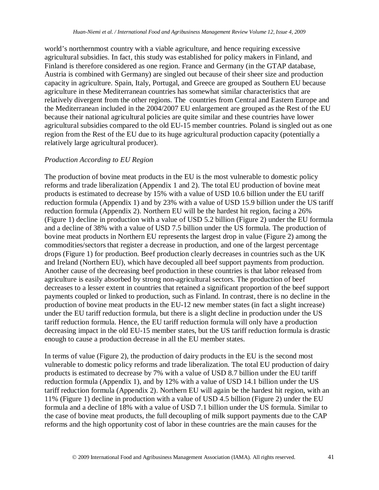world's northernmost country with a viable agriculture, and hence requiring excessive agricultural subsidies. In fact, this study was established for policy makers in Finland, and Finland is therefore considered as one region. France and Germany (in the GTAP database, Austria is combined with Germany) are singled out because of their sheer size and production capacity in agriculture. Spain, Italy, Portugal, and Greece are grouped as Southern EU because agriculture in these Mediterranean countries has somewhat similar characteristics that are relatively divergent from the other regions. The countries from Central and Eastern Europe and the Mediterranean included in the 2004/2007 EU enlargement are grouped as the Rest of the EU because their national agricultural policies are quite similar and these countries have lower agricultural subsidies compared to the old EU-15 member countries. Poland is singled out as one region from the Rest of the EU due to its huge agricultural production capacity (potentially a relatively large agricultural producer).

#### *Production According to EU Region*

The production of bovine meat products in the EU is the most vulnerable to domestic policy reforms and trade liberalization (Appendix 1 and 2). The total EU production of bovine meat products is estimated to decrease by 15% with a value of USD 10.6 billion under the EU tariff reduction formula (Appendix 1) and by 23% with a value of USD 15.9 billion under the US tariff reduction formula (Appendix 2). Northern EU will be the hardest hit region, facing a 26% (Figure 1) decline in production with a value of USD 5.2 billion (Figure 2) under the EU formula and a decline of 38% with a value of USD 7.5 billion under the US formula. The production of bovine meat products in Northern EU represents the largest drop in value (Figure 2) among the commodities/sectors that register a decrease in production, and one of the largest percentage drops (Figure 1) for production. Beef production clearly decreases in countries such as the UK and Ireland (Northern EU), which have decoupled all beef support payments from production. Another cause of the decreasing beef production in these countries is that labor released from agriculture is easily absorbed by strong non-agricultural sectors. The production of beef decreases to a lesser extent in countries that retained a significant proportion of the beef support payments coupled or linked to production, such as Finland. In contrast, there is no decline in the production of bovine meat products in the EU-12 new member states (in fact a slight increase) under the EU tariff reduction formula, but there is a slight decline in production under the US tariff reduction formula. Hence, the EU tariff reduction formula will only have a production decreasing impact in the old EU-15 member states, but the US tariff reduction formula is drastic enough to cause a production decrease in all the EU member states.

In terms of value (Figure 2), the production of dairy products in the EU is the second most vulnerable to domestic policy reforms and trade liberalization. The total EU production of dairy products is estimated to decrease by 7% with a value of USD 8.7 billion under the EU tariff reduction formula (Appendix 1), and by 12% with a value of USD 14.1 billion under the US tariff reduction formula (Appendix 2). Northern EU will again be the hardest hit region, with an 11% (Figure 1) decline in production with a value of USD 4.5 billion (Figure 2) under the EU formula and a decline of 18% with a value of USD 7.1 billion under the US formula. Similar to the case of bovine meat products, the full decoupling of milk support payments due to the CAP reforms and the high opportunity cost of labor in these countries are the main causes for the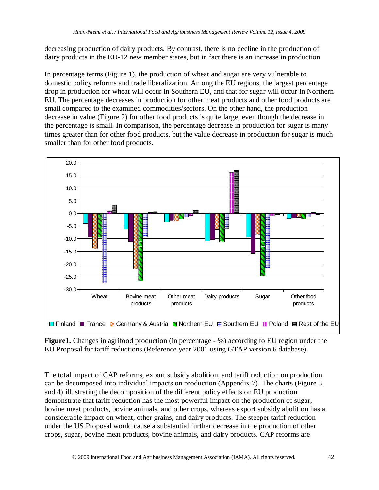decreasing production of dairy products. By contrast, there is no decline in the production of dairy products in the EU-12 new member states, but in fact there is an increase in production.

In percentage terms (Figure 1), the production of wheat and sugar are very vulnerable to domestic policy reforms and trade liberalization. Among the EU regions, the largest percentage drop in production for wheat will occur in Southern EU, and that for sugar will occur in Northern EU. The percentage decreases in production for other meat products and other food products are small compared to the examined commodities/sectors. On the other hand, the production decrease in value (Figure 2) for other food products is quite large, even though the decrease in the percentage is small. In comparison, the percentage decrease in production for sugar is many times greater than for other food products, but the value decrease in production for sugar is much smaller than for other food products.



**Figure1.** Changes in agrifood production (in percentage - %) according to EU region under the EU Proposal for tariff reductions (Reference year 2001 using GTAP version 6 database)**.**

The total impact of CAP reforms, export subsidy abolition, and tariff reduction on production can be decomposed into individual impacts on production (Appendix 7). The charts (Figure 3 and 4) illustrating the decomposition of the different policy effects on EU production demonstrate that tariff reduction has the most powerful impact on the production of sugar, bovine meat products, bovine animals, and other crops, whereas export subsidy abolition has a considerable impact on wheat, other grains, and dairy products. The steeper tariff reduction under the US Proposal would cause a substantial further decrease in the production of other crops, sugar, bovine meat products, bovine animals, and dairy products. CAP reforms are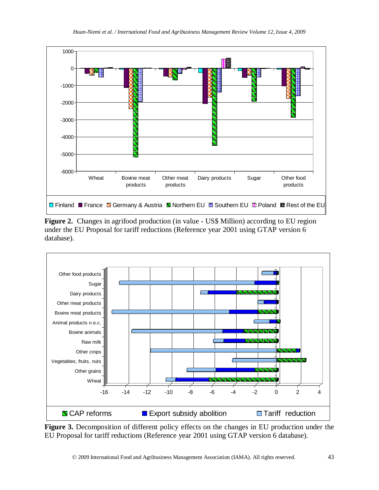

**Figure 2.** Changes in agrifood production (in value - US\$ Million) according to EU region under the EU Proposal for tariff reductions (Reference year 2001 using GTAP version 6 database).



**Figure 3.** Decomposition of different policy effects on the changes in EU production under the EU Proposal for tariff reductions (Reference year 2001 using GTAP version 6 database).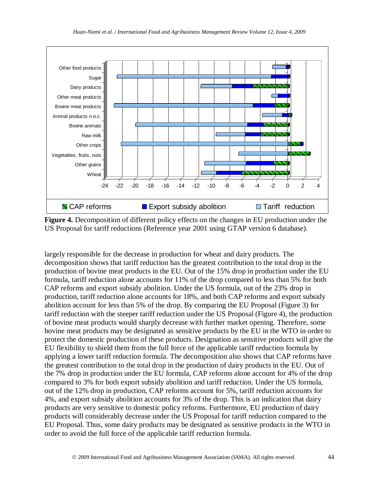

**Figure 4.** Decomposition of different policy effects on the changes in EU production under the US Proposal for tariff reductions (Reference year 2001 using GTAP version 6 database).

largely responsible for the decrease in production for wheat and dairy products. The decomposition shows that tariff reduction has the greatest contribution to the total drop in the production of bovine meat products in the EU. Out of the 15% drop in production under the EU formula, tariff reduction alone accounts for 11% of the drop compared to less than 5% for both CAP reforms and export subsidy abolition. Under the US formula, out of the 23% drop in production, tariff reduction alone accounts for 18%, and both CAP reforms and export subsidy abolition account for less than 5% of the drop. By comparing the EU Proposal (Figure 3) for tariff reduction with the steeper tariff reduction under the US Proposal (Figure 4), the production of bovine meat products would sharply decrease with further market opening. Therefore, some bovine meat products may be designated as sensitive products by the EU in the WTO in order to protect the domestic production of these products. Designation as sensitive products will give the EU flexibility to shield them from the full force of the applicable tariff reduction formula by applying a lower tariff reduction formula. The decomposition also shows that CAP reforms have the greatest contribution to the total drop in the production of dairy products in the EU. Out of the 7% drop in production under the EU formula, CAP reforms alone account for 4% of the drop compared to 3% for both export subsidy abolition and tariff reduction. Under the US formula, out of the 12% drop in production, CAP reforms account for 5%, tariff reduction accounts for 4%, and export subsidy abolition accounts for 3% of the drop. This is an indication that dairy products are very sensitive to domestic policy reforms. Furthermore, EU production of dairy products will considerably decrease under the US Proposal for tariff reduction compared to the EU Proposal. Thus, some dairy products may be designated as sensitive products in the WTO in order to avoid the full force of the applicable tariff reduction formula.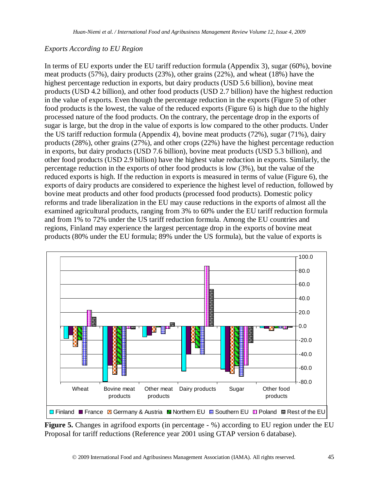#### *Exports According to EU Region*

In terms of EU exports under the EU tariff reduction formula (Appendix 3), sugar (60%), bovine meat products (57%), dairy products (23%), other grains (22%), and wheat (18%) have the highest percentage reduction in exports, but dairy products (USD 5.6 billion), bovine meat products (USD 4.2 billion), and other food products (USD 2.7 billion) have the highest reduction in the value of exports. Even though the percentage reduction in the exports (Figure 5) of other food products is the lowest, the value of the reduced exports (Figure 6) is high due to the highly processed nature of the food products. On the contrary, the percentage drop in the exports of sugar is large, but the drop in the value of exports is low compared to the other products. Under the US tariff reduction formula (Appendix 4), bovine meat products (72%), sugar (71%), dairy products (28%), other grains (27%), and other crops (22%) have the highest percentage reduction in exports, but dairy products (USD 7.6 billion), bovine meat products (USD 5.3 billion), and other food products (USD 2.9 billion) have the highest value reduction in exports. Similarly, the percentage reduction in the exports of other food products is low (3%), but the value of the reduced exports is high. If the reduction in exports is measured in terms of value (Figure 6), the exports of dairy products are considered to experience the highest level of reduction, followed by bovine meat products and other food products (processed food products). Domestic policy reforms and trade liberalization in the EU may cause reductions in the exports of almost all the examined agricultural products, ranging from 3% to 60% under the EU tariff reduction formula and from 1% to 72% under the US tariff reduction formula. Among the EU countries and regions, Finland may experience the largest percentage drop in the exports of bovine meat products (80% under the EU formula; 89% under the US formula), but the value of exports is



**Figure 5.** Changes in agrifood exports (in percentage - %) according to EU region under the EU Proposal for tariff reductions (Reference year 2001 using GTAP version 6 database).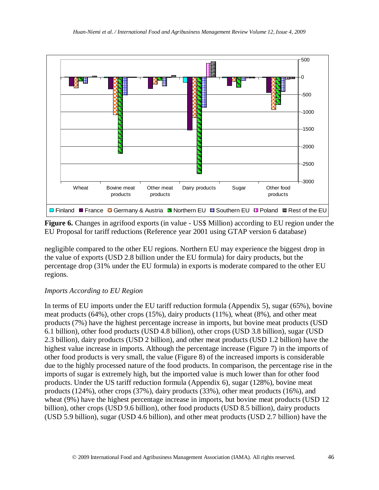

**Figure 6.** Changes in agrifood exports (in value - US\$ Million) according to EU region under the EU Proposal for tariff reductions (Reference year 2001 using GTAP version 6 database)

negligible compared to the other EU regions. Northern EU may experience the biggest drop in the value of exports (USD 2.8 billion under the EU formula) for dairy products, but the percentage drop (31% under the EU formula) in exports is moderate compared to the other EU regions.

#### *Imports According to EU Region*

In terms of EU imports under the EU tariff reduction formula (Appendix 5), sugar (65%), bovine meat products (64%), other crops (15%), dairy products (11%), wheat (8%), and other meat products (7%) have the highest percentage increase in imports, but bovine meat products (USD 6.1 billion), other food products (USD 4.8 billion), other crops (USD 3.8 billion), sugar (USD 2.3 billion), dairy products (USD 2 billion), and other meat products (USD 1.2 billion) have the highest value increase in imports. Although the percentage increase (Figure 7) in the imports of other food products is very small, the value (Figure 8) of the increased imports is considerable due to the highly processed nature of the food products. In comparison, the percentage rise in the imports of sugar is extremely high, but the imported value is much lower than for other food products. Under the US tariff reduction formula (Appendix 6), sugar (128%), bovine meat products (124%), other crops (37%), dairy products (33%), other meat products (16%), and wheat (9%) have the highest percentage increase in imports, but bovine meat products (USD 12 billion), other crops (USD 9.6 billion), other food products (USD 8.5 billion), dairy products (USD 5.9 billion), sugar (USD 4.6 billion), and other meat products (USD 2.7 billion) have the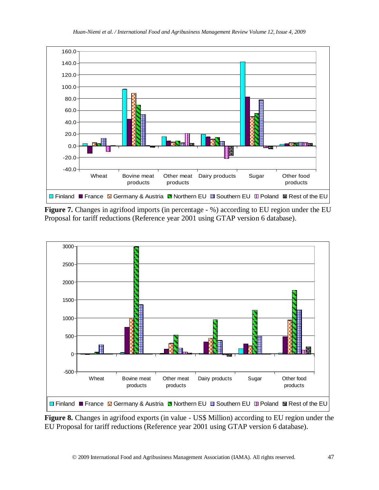

**Figure 7.** Changes in agrifood imports (in percentage - %) according to EU region under the EU Proposal for tariff reductions (Reference year 2001 using GTAP version 6 database).



**Figure 8.** Changes in agrifood exports (in value - US\$ Million) according to EU region under the EU Proposal for tariff reductions (Reference year 2001 using GTAP version 6 database).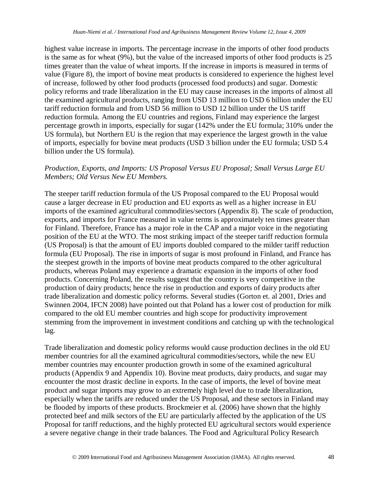highest value increase in imports. The percentage increase in the imports of other food products is the same as for wheat (9%), but the value of the increased imports of other food products is 25 times greater than the value of wheat imports. If the increase in imports is measured in terms of value (Figure 8), the import of bovine meat products is considered to experience the highest level of increase, followed by other food products (processed food products) and sugar. Domestic policy reforms and trade liberalization in the EU may cause increases in the imports of almost all the examined agricultural products, ranging from USD 13 million to USD 6 billion under the EU tariff reduction formula and from USD 56 million to USD 12 billion under the US tariff reduction formula. Among the EU countries and regions, Finland may experience the largest percentage growth in imports, especially for sugar (142% under the EU formula; 310% under the US formula), but Northern EU is the region that may experience the largest growth in the value of imports, especially for bovine meat products (USD 3 billion under the EU formula; USD 5.4 billion under the US formula).

#### *Production, Exports, and Imports: US Proposal Versus EU Proposal; Small Versus Large EU Members; Old Versus New EU Members.*

The steeper tariff reduction formula of the US Proposal compared to the EU Proposal would cause a larger decrease in EU production and EU exports as well as a higher increase in EU imports of the examined agricultural commodities/sectors (Appendix 8). The scale of production, exports, and imports for France measured in value terms is approximately ten times greater than for Finland. Therefore, France has a major role in the CAP and a major voice in the negotiating position of the EU at the WTO. The most striking impact of the steeper tariff reduction formula (US Proposal) is that the amount of EU imports doubled compared to the milder tariff reduction formula (EU Proposal). The rise in imports of sugar is most profound in Finland, and France has the steepest growth in the imports of bovine meat products compared to the other agricultural products, whereas Poland may experience a dramatic expansion in the imports of other food products. Concerning Poland, the results suggest that the country is very competitive in the production of dairy products; hence the rise in production and exports of dairy products after trade liberalization and domestic policy reforms. Several studies (Gorton et. al 2001, Dries and Swinnen 2004, IFCN 2008) have pointed out that Poland has a lower cost of production for milk compared to the old EU member countries and high scope for productivity improvement stemming from the improvement in investment conditions and catching up with the technological lag.

Trade liberalization and domestic policy reforms would cause production declines in the old EU member countries for all the examined agricultural commodities/sectors, while the new EU member countries may encounter production growth in some of the examined agricultural products (Appendix 9 and Appendix 10). Bovine meat products, dairy products, and sugar may encounter the most drastic decline in exports. In the case of imports, the level of bovine meat product and sugar imports may grow to an extremely high level due to trade liberalization, especially when the tariffs are reduced under the US Proposal, and these sectors in Finland may be flooded by imports of these products. Brockmeier et al. (2006) have shown that the highly protected beef and milk sectors of the EU are particularly affected by the application of the US Proposal for tariff reductions, and the highly protected EU agricultural sectors would experience a severe negative change in their trade balances. The Food and Agricultural Policy Research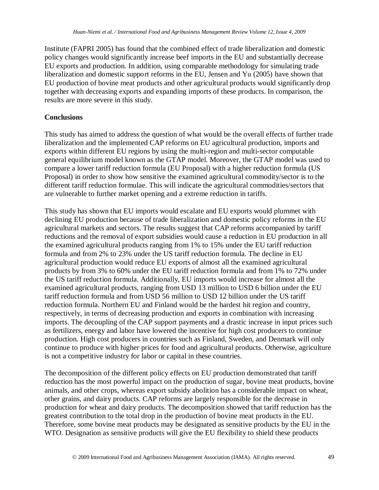Institute (FAPRI 2005) has found that the combined effect of trade liberalization and domestic policy changes would significantly increase beef imports in the EU and substantially decrease EU exports and production. In addition, using comparable methodology for simulating trade liberalization and domestic support reforms in the EU, Jensen and Yu (2005) have shown that EU production of bovine meat products and other agricultural products would significantly drop together with decreasing exports and expanding imports of these products. In comparison, the results are more severe in this study.

#### **Conclusions**

This study has aimed to address the question of what would be the overall effects of further trade liberalization and the implemented CAP reforms on EU agricultural production, imports and exports within different EU regions by using the multi-region and multi-sector computable general equilibrium model known as the GTAP model. Moreover, the GTAP model was used to compare a lower tariff reduction formula (EU Proposal) with a higher reduction formula (US Proposal) in order to show how sensitive the examined agricultural commodity/sector is to the different tariff reduction formulae. This will indicate the agricultural commodities/sectors that are vulnerable to further market opening and a extreme reduction in tariffs.

This study has shown that EU imports would escalate and EU exports would plummet with declining EU production because of trade liberalization and domestic policy reforms in the EU agricultural markets and sectors. The results suggest that CAP reforms accompanied by tariff reductions and the removal of export subsidies would cause a reduction in EU production in all the examined agricultural products ranging from 1% to 15% under the EU tariff reduction formula and from 2% to 23% under the US tariff reduction formula. The decline in EU agricultural production would reduce EU exports of almost all the examined agricultural products by from 3% to 60% under the EU tariff reduction formula and from 1% to 72% under the US tariff reduction formula. Additionally, EU imports would increase for almost all the examined agricultural products, ranging from USD 13 million to USD 6 billion under the EU tariff reduction formula and from USD 56 million to USD 12 billion under the US tariff reduction formula. Northern EU and Finland would be the hardest hit region and country, respectively, in terms of decreasing production and exports in combination with increasing imports. The decoupling of the CAP support payments and a drastic increase in input prices such as fertilizers, energy and labor have lowered the incentive for high cost producers to continue production. High cost producers in countries such as Finland, Sweden, and Denmark will only continue to produce with higher prices for food and agricultural products. Otherwise, agriculture is not a competitive industry for labor or capital in these countries.

The decomposition of the different policy effects on EU production demonstrated that tariff reduction has the most powerful impact on the production of sugar, bovine meat products, bovine animals, and other crops, whereas export subsidy abolition has a considerable impact on wheat, other grains, and dairy products. CAP reforms are largely responsible for the decrease in production for wheat and dairy products. The decomposition showed that tariff reduction has the greatest contribution to the total drop in the production of bovine meat products in the EU. Therefore, some bovine meat products may be designated as sensitive products by the EU in the WTO. Designation as sensitive products will give the EU flexibility to shield these products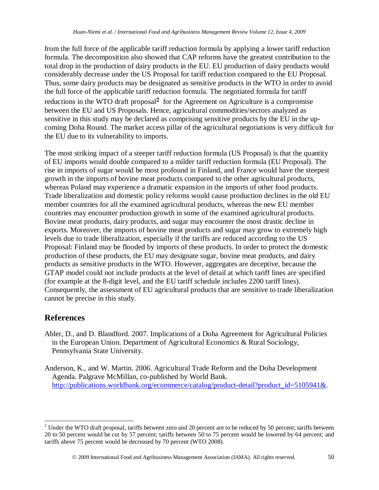from the full force of the applicable tariff reduction formula by applying a lower tariff reduction formula. The decomposition also showed that CAP reforms have the greatest contribution to the total drop in the production of dairy products in the EU. EU production of dairy products would considerably decrease under the US Proposal for tariff reduction compared to the EU Proposal. Thus, some dairy products may be designated as sensitive products in the WTO in order to avoid the full force of the applicable tariff reduction formula. The negotiated formula for tariff reductions in the WTO draft proposal**[2](#page-21-0)** for the Agreement on Agriculture is a compromise between the EU and US Proposals. Hence, agricultural commodities/sectors analyzed as sensitive in this study may be declared as comprising sensitive products by the EU in the upcoming Doha Round. The market access pillar of the agricultural negotiations is very difficult for the EU due to its vulnerability to imports.

The most striking impact of a steeper tariff reduction formula (US Proposal) is that the quantity of EU imports would double compared to a milder tariff reduction formula (EU Proposal). The rise in imports of sugar would be most profound in Finland, and France would have the steepest growth in the imports of bovine meat products compared to the other agricultural products, whereas Poland may experience a dramatic expansion in the imports of other food products. Trade liberalization and domestic policy reforms would cause production declines in the old EU member countries for all the examined agricultural products, whereas the new EU member countries may encounter production growth in some of the examined agricultural products. Bovine meat products, dairy products, and sugar may encounter the most drastic decline in exports. Moreover, the imports of bovine meat products and sugar may grow to extremely high levels due to trade liberalization, especially if the tariffs are reduced according to the US Proposal: Finland may be flooded by imports of these products. In order to protect the domestic production of these products, the EU may designate sugar, bovine meat products, and dairy products as sensitive products in the WTO. However, aggregates are deceptive, because the GTAP model could not include products at the level of detail at which tariff lines are specified (for example at the 8-digit level, and the EU tariff schedule includes 2200 tariff lines). Consequently, the assessment of EU agricultural products that are sensitive to trade liberalization cannot be precise in this study.

## **References**

- Abler, D., and D. Blandford. 2007. Implications of a Doha Agreement for Agricultural Policies in the European Union. Department of Agricultural Economics & Rural Sociology, Pennsylvania State University.
- Anderson, K., and W. Martin. 2006. Agricultural Trade Reform and the Doha Development Agenda. Palgrave McMillan, co-published by World Bank. [http://publications.worldbank.org/ecommerce/catalog/product-detail?product\\_id=5105941&.](http://publications.worldbank.org/ecommerce/catalog/product-detail?product_id=5105941&)

<span id="page-21-0"></span> $2$  Under the WTO draft proposal, tariffs between zero and 20 percent are to be reduced by 50 percent; tariffs between 20 to 50 percent would be cut by 57 percent; tariffs between 50 to 75 percent would be lowered by 64 percent; and tariffs above 75 percent would be decreased by 70 percent (WTO 2008).

2009 International Food and Agribusiness Management Association (IAMA). All rights reserved. 50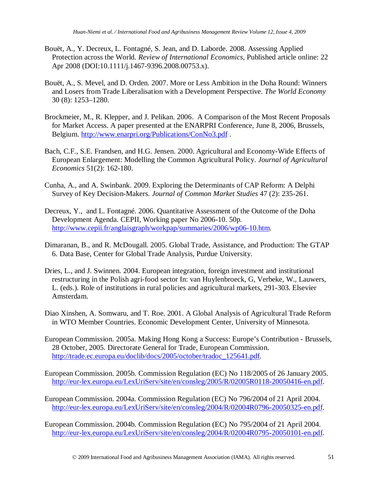- Bouët, A., Y. Decreux, L. Fontagné, S. Jean, and D. Laborde. 2008. Assessing Applied Protection across the World. *Review of International Economics*, Published article online: 22 Apr 2008 (DOI:10.1111/j.1467-9396.2008.00753.x).
- Bouët, A., S. Mevel, and D. Orden. 2007. More or Less Ambition in the Doha Round: Winners and Losers from Trade Liberalisation with a Development Perspective. *The World Economy* 30 (8): 1253–1280.
- Brockmeier, M., R. Klepper, and J. Pelikan. 2006. A Comparison of the Most Recent Proposals for Market Access. A paper presented at the ENARPRI Conference, June 8, 2006, Brussels, Belgium.<http://www.enarpri.org/Publications/ConNo3.pdf> .
- Bach, C.F., S.E. Frandsen, and H.G. Jensen. 2000. Agricultural and Economy-Wide Effects of European Enlargement: Modelling the Common Agricultural Policy. *Journal of Agricultural Economics* 51(2): 162-180.
- Cunha, A., and A. Swinbank. 2009. Exploring the Determinants of CAP Reform: A Delphi Survey of Key Decision-Makers. *Journal of Common Market Studies* 47 (2): 235-261.
- Decreux, Y., and L. Fontagné. 2006. Quantitative Assessment of the Outcome of the Doha Development Agenda. CEPII, Working paper No 2006-10. 50p. [http://www.cepii.fr/anglaisgraph/workpap/summaries/2006/wp06-10.htm.](http://www.cepii.fr/anglaisgraph/workpap/summaries/2006/wp06-10.htm)
- Dimaranan, B., and R. McDougall. 2005. Global Trade, Assistance, and Production: The GTAP 6. Data Base, Center for Global Trade Analysis, Purdue University.
- Dries, L., and J. Swinnen. 2004. European integration, foreign investment and institutional restructuring in the Polish agri-food sector In: van Huylenbroeck, G, Verbeke, W., Lauwers, L. (eds.). Role of institutions in rural policies and agricultural markets, 291-303. Elsevier Amsterdam.
- Diao Xinshen, A. Somwaru, and T. Roe. 2001. A Global Analysis of Agricultural Trade Reform in WTO Member Countries. Economic Development Center, University of Minnesota.
- European Commission. 2005a. Making Hong Kong a Success: Europe's Contribution Brussels, 28 October, 2005. Directorate General for Trade, European Commission. [http://trade.ec.europa.eu/doclib/docs/2005/october/tradoc\\_125641.pdf.](http://trade.ec.europa.eu/doclib/docs/2005/october/tradoc_125641.pdf)
- European Commission. 2005b. Commission Regulation (EC) No 118/2005 of 26 January 2005. [http://eur-lex.europa.eu/LexUriServ/site/en/consleg/2005/R/02005R0118-20050416-en.pdf.](http://eur-lex.europa.eu/LexUriServ/site/en/consleg/2005/R/02005R0118-20050416-en.pdf)
- European Commission. 2004a. Commission Regulation (EC) No 796/2004 of 21 April 2004. [http://eur-lex.europa.eu/LexUriServ/site/en/consleg/2004/R/02004R0796-20050325-en.pdf.](http://eur-lex.europa.eu/LexUriServ/site/en/consleg/2004/R/02004R0796-20050325-en.pdf)
- European Commission. 2004b. Commission Regulation (EC) No 795/2004 of 21 April 2004. [http://eur-lex.europa.eu/LexUriServ/site/en/consleg/2004/R/02004R0795-20050101-en.pdf.](http://eur-lex.europa.eu/LexUriServ/site/en/consleg/2004/R/02004R0795-20050101-en.pdf)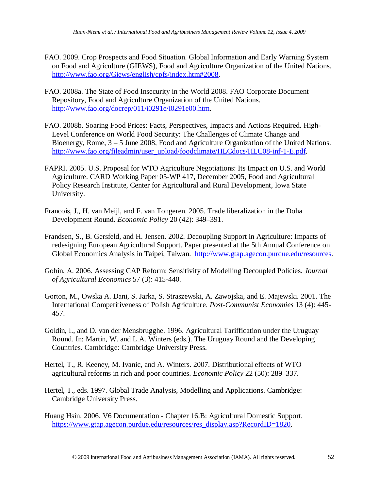- FAO. 2009. Crop Prospects and Food Situation. Global Information and Early Warning System on Food and Agriculture (GIEWS), Food and Agriculture Organization of the United Nations. [http://www.fao.org/Giews/english/cpfs/index.htm#2008.](http://www.fao.org/Giews/english/cpfs/index.htm#2008)
- FAO. 2008a. The State of Food Insecurity in the World 2008. FAO Corporate Document Repository, Food and Agriculture Organization of the United Nations. [http://www.fao.org/docrep/011/i0291e/i0291e00.htm.](http://www.fao.org/docrep/011/i0291e/i0291e00.htm)
- FAO. 2008b. Soaring Food Prices: Facts, Perspectives, Impacts and Actions Required. High-Level Conference on World Food Security: The Challenges of Climate Change and Bioenergy, Rome, 3 – 5 June 2008, Food and Agriculture Organization of the United Nations. [http://www.fao.org/fileadmin/user\\_upload/foodclimate/HLCdocs/HLC08-inf-1-E.pdf.](http://www.fao.org/fileadmin/user_upload/foodclimate/HLCdocs/HLC08-inf-1-E.pdf)
- FAPRI. 2005. U.S. Proposal for WTO Agriculture Negotiations: Its Impact on U.S. and World Agriculture. CARD Working Paper 05-WP 417, December 2005, Food and Agricultural Policy Research Institute, Center for Agricultural and Rural Development, Iowa State University.
- Francois, J., H. van Meijl, and F. van Tongeren. 2005. Trade liberalization in the Doha Development Round. *Economic Policy* 20 (42): 349–391.
- Frandsen, S., B. Gersfeld, and H. Jensen. 2002. Decoupling Support in Agriculture: Impacts of redesigning European Agricultural Support. Paper presented at the 5th Annual Conference on Global Economics Analysis in Taipei, Taiwan. [http://www.gtap.agecon.purdue.edu/resources.](http://www.gtap.agecon.purdue.edu/resources)
- Gohin, A. 2006. Assessing CAP Reform: Sensitivity of Modelling Decoupled Policies. *Journal of Agricultural Economics* 57 (3): 415-440.
- Gorton, M., Owska A. Dani, S. Jarka, S. Straszewski, A. Zawojska, and E. Majewski. 2001. The International Competitiveness of Polish Agriculture. *Post-Communist Economies* 13 (4): 445- 457.
- Goldin, I., and D. van der Mensbrugghe. 1996. Agricultural Tariffication under the Uruguay Round. In: Martin, W. and L.A. Winters (eds.). The Uruguay Round and the Developing Countries. Cambridge: Cambridge University Press.
- Hertel, T., R. Keeney, M. Ivanic, and A. Winters. 2007. Distributional effects of WTO agricultural reforms in rich and poor countries. *Economic Policy* 22 (50): 289–337.
- Hertel, T., eds. 1997. Global Trade Analysis, Modelling and Applications. Cambridge: Cambridge University Press.
- Huang Hsin. 2006. V6 Documentation Chapter 16.B: Agricultural Domestic Support. [https://www.gtap.agecon.purdue.edu/resources/res\\_display.asp?RecordID=1820.](https://www.gtap.agecon.purdue.edu/resources/res_display.asp?RecordID=1820)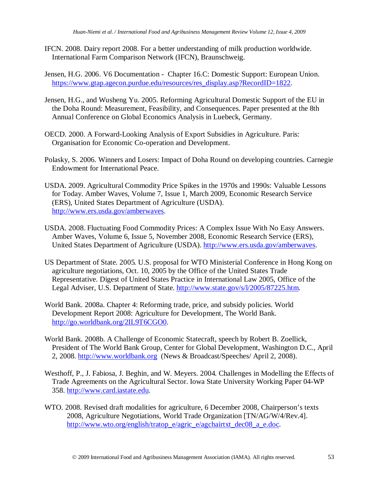- IFCN. 2008. Dairy report 2008. For a better understanding of milk production worldwide. International Farm Comparison Network (IFCN), Braunschweig.
- Jensen, H.G. 2006. V6 Documentation Chapter 16.C: Domestic Support: European Union. [https://www.gtap.agecon.purdue.edu/resources/res\\_display.asp?RecordID=1822.](https://www.gtap.agecon.purdue.edu/resources/res_display.asp?RecordID=1822)
- Jensen, H.G., and Wusheng Yu. 2005. Reforming Agricultural Domestic Support of the EU in the Doha Round: Measurement, Feasibility, and Consequences. Paper presented at the 8th Annual Conference on Global Economics Analysis in Luebeck, Germany.
- OECD. 2000. A Forward-Looking Analysis of Export Subsidies in Agriculture. Paris: Organisation for Economic Co-operation and Development.
- Polasky, S. 2006. Winners and Losers: Impact of Doha Round on developing countries. Carnegie Endowment for International Peace.
- USDA. 2009. Agricultural Commodity Price Spikes in the 1970s and 1990s: Valuable Lessons for Today. Amber Waves, Volume 7, Issue 1, March 2009, Economic Research Service (ERS), United States Department of Agriculture (USDA). [http://www.ers.usda.gov/amberwaves.](http://www.ers.usda.gov/amberwaves)
- USDA. 2008. Fluctuating Food Commodity Prices: A Complex Issue With No Easy Answers. Amber Waves, Volume 6, Issue 5, November 2008, Economic Research Service (ERS), United States Department of Agriculture (USDA). [http://www.ers.usda.gov/amberwaves.](http://www.ers.usda.gov/amberwaves)
- US Department of State. 2005. U.S. proposal for WTO Ministerial Conference in Hong Kong on agriculture negotiations, Oct. 10, 2005 by the Office of the United States Trade Representative. Digest of United States Practice in International Law 2005, Office of the Legal Adviser, U.S. Department of State. [http://www.state.gov/s/l/2005/87225.htm.](http://www.state.gov/s/l/2005/87225.htm)
- World Bank. 2008a. Chapter 4: Reforming trade, price, and subsidy policies. World Development Report 2008: Agriculture for Development, The World Bank. [http://go.worldbank.org/2IL9T6CGO0.](http://go.worldbank.org/2IL9T6CGO0)
- World Bank. 2008b. A Challenge of Economic Statecraft, speech by Robert B. Zoellick, President of The World Bank Group, Center for Global Development, Washington D.C., April 2, 2008. [http://www.worldbank.org](http://www.worldbank.org/) (News & Broadcast/Speeches/ April 2, 2008).
- Westhoff, P., J. Fabiosa, J. Beghin, and W. Meyers. 2004. Challenges in Modelling the Effects of Trade Agreements on the Agricultural Sector. Iowa State University Working Paper 04-WP 358. [http://www.card.iastate.edu.](http://www.card.iastate.edu/)
- WTO. 2008. Revised draft modalities for agriculture, 6 December 2008, Chairperson's texts 2008, Agriculture Negotiations, World Trade Organization [TN/AG/W/4/Rev.4]. [http://www.wto.org/english/tratop\\_e/agric\\_e/agchairtxt\\_dec08\\_a\\_e.doc.](http://www.wto.org/english/tratop_e/agric_e/agchairtxt_dec08_a_e.doc)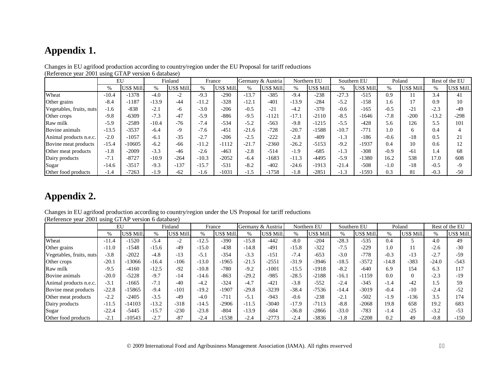# **Appendix 1.**

|                          | EU      |            |               | Finland    |         | France            |         | Germany & Austria |         | Northern EU | Southern EU |                  |        | Poland     |         | Rest of the EU |
|--------------------------|---------|------------|---------------|------------|---------|-------------------|---------|-------------------|---------|-------------|-------------|------------------|--------|------------|---------|----------------|
|                          | $\%$    | US\$ Mill. | $\frac{0}{0}$ | US\$ Mill. | %       | <b>US\$ Mill.</b> | %       | US\$ Mill.        | $\%$    | US\$ Mill.  | %           | <b>US\$ Mill</b> | %      | US\$ Mill. | $\%$    | US\$ Mill.     |
| Wheat                    | $-10.4$ | $-1378$    | $-4.0$        | $-2$       | $-9.3$  | $-290$            | $-13.7$ | $-385$            | $-9.4$  | $-238$      | $-27.3$     | $-515$           | 0.9    | 11         | 3.4     | 41             |
| Other grains             | $-8.4$  | $-1187$    | $-13.9$       | $-44$      | $-11.2$ | $-328$            | $-12.1$ | $-401$            | $-13.9$ | $-284$      | $-5.2$      | $-158$           | 1.6    | 17         | 0.9     | 10             |
| Vegetables, fruits, nuts | $-1.6$  | $-838$     | $-2.1$        | -6         | $-3.0$  | $-206$            | $-0.5$  | $-21$             | $-4.2$  | $-370$      | $-0.6$      | $-165$           | $-0.5$ | $-21$      | $-2.3$  | $-49$          |
| Other crops              | $-9.8$  | $-6309$    | $-7.3$        | $-47$      | $-5.9$  | $-886$            | $-9.5$  | $-1121$           | $-17.1$ | $-2110$     | $-8.5$      | $-1646$          | $-7.8$ | $-200$     | $-13.2$ | $-298$         |
| Raw milk                 | $-5.9$  | $-2589$    | $-10.4$       | $-76$      | $-7.4$  | $-534$            | $-5.2$  | $-563$            | $-9.8$  | $-1215$     | $-5.5$      | $-428$           | 5.6    | 126        | 5.5     | 101            |
| Bovine animals           | $-13.5$ | $-3537$    | $-6.4$        | $-9$       | $-7.6$  | $-451$            | $-21.6$ | $-728$            | $-20.7$ | $-1588$     | $-10.7$     | $-771$           | 1.0    | 6          | 0.4     |                |
| Animal products n.e.c.   | $-2.0$  | $-1057$    | $-6.1$        | $-35$      | $-2.7$  | $-206$            | $-2.5$  | $-222$            | $-2.8$  | $-409$      | $-1.3$      | $-186$           | $-0.6$ | $-18$      | 0.5     | 21             |
| Bovine meat products     | $-15.4$ | $-10605$   | $-6.2$        | $-66$      | $-11.2$ | $-1112$           | $-21.7$ | $-2360$           | $-26.2$ | $-5153$     | $-9.2$      | $-1937$          | 0.4    | 10         | 0.6     |                |
| Other meat products      | $-1.8$  | $-2009$    | $-3.3$        | $-46$      | $-2.6$  | $-463$            | $-2.8$  | $-514$            | $-1.9$  | $-685$      | $-1.3$      | $-308$           | $-0.9$ | $-61$      | 1.4     | 68             |
| Dairy products           | $-7.1$  | $-8727$    | $-10.9$       | $-264$     | $-10.3$ | $-2052$           | $-6.4$  | $-1683$           | $-11.3$ | $-4495$     | $-5.9$      | $-1380$          | 16.2   | 538        | 17.0    | 608            |
| Sugar                    | $-14.6$ | $-3517$    | $-9.3$        | $-137$     | $-15.7$ | $-531$            | $-8.2$  | $-402$            | $-24.6$ | $-1913$     | $-21.4$     | $-508$           | $-1.0$ | $-18$      | $-0.5$  | Q              |
| Other food products      | $-1.4$  | $-7263$    | $-1.9$        | $-62$      | $-1.6$  | $-1031$           | $-1.5$  | $-1758$           | $-1.8$  | $-2851$     | $-1.3$      | $-1593$          | 0.3    | 81         | $-0.3$  | $-50$          |

Changes in EU agrifood production according to country/region under the EU Proposal for tariff reductions (Reference year 2001 using GTAP version 6 database)

## **Appendix 2.**

Changes in EU agrifood production according to country/region under the US Proposal for tariff reductions (Reference year 2001 using GTAP version 6 database)

|                          |         | EU         |         | Finland    |         | France           |         | Germany & Austria |         | Northern EU | Southern EU |                  |         | Poland    |         | Rest of the EU |
|--------------------------|---------|------------|---------|------------|---------|------------------|---------|-------------------|---------|-------------|-------------|------------------|---------|-----------|---------|----------------|
|                          | $\%$    | US\$ Mill. | %       | US\$ Mill. | %       | <b>US\$ Mill</b> | %       | US\$ Mill.        | $\%$    | US\$ Mill   | %           | <b>US\$ Mill</b> | $\%$    | US\$ Mill | %       | US\$ Mill.     |
| Wheat                    | $-11.4$ | $-1520$    | $-5.4$  | $-2$       | $-12.5$ | $-390$           | $-15.8$ | $-442$            | $-8.0$  | $-204$      | $-28.3$     | $-535$           | 0.4     |           | 4.0     | 49             |
| Other grains             | $-11.0$ | $-1548$    | $-15.6$ | $-49$      | $-15.0$ | $-438$           | $-14.8$ | $-491$            | $-15.8$ | $-322$      | $-7.5$      | $-229$           | 1.0     | 11        | $-2.6$  | $-30$          |
| Vegetables, fruits, nuts | $-3.8$  | $-2022$    | $-4.8$  | $-13$      | $-5.1$  | $-354$           | $-3.3$  | $-151$            | $-7.4$  | $-653$      | $-3.0$      | $-778$           | $-0.3$  | $-13$     | $-2.7$  | $-59$          |
| Other crops              | $-20.1$ | $-13066$   | $-16.4$ | $-106$     | $-13.0$ | $-1965$          | $-21.5$ | $-2551$           | $-31.9$ | $-3946$     | $-18.5$     | $-3572$          | $-14.8$ | $-383$    | $-24.0$ | $-543$         |
| Raw milk                 | $-9.5$  | $-4160$    | $-12.5$ | $-92$      | $-10.8$ | $-780$           | $-9.2$  | $-1001$           | $-15.5$ | $-1918$     | $-8.2$      | $-640$           | 6.9     | 154       | 6.3     | 117            |
| Bovine animals           | $-20.0$ | $-5228$    | $-9.7$  | $-14$      | $-14.6$ | $-863$           | $-29.2$ | $-985$            | $-28.5$ | $-2188$     | $-16.1$     | $-1159$          | 0.0     | $\Omega$  | $-2.3$  | $-19$          |
| Animal products n.e.c.   | $-3.1$  | $-1665$    | $-7.1$  | $-40$      | $-4.2$  | $-324$           | $-4.7$  | $-421$            | $-3.8$  | $-552$      | $-2.4$      | $-345$           | $-1.4$  | $-42$     | 1.5     | 59             |
| Bovine meat products     | $-22.8$ | $-15865$   | $-9.4$  | $-101$     | $-19.2$ | $-1907$          | $-29.8$ | $-3239$           | $-38.4$ | $-7536$     | $-14.4$     | $-3019$          | $-0.4$  | $-10$     | $-2.4$  | $-52$          |
| Other meat products      | $-2.2$  | $-2405$    | $-3.5$  | $-49$      | $-4.0$  | $-711$           | $-5.1$  | $-943$            | $-0.6$  | $-238$      | $-2.1$      | $-502$           | $-1.9$  | $-136$    | 3.5     | 174            |
| Dairy products           | $-11.5$ | $-14103$   | $-13.2$ | $-318$     | $-14.5$ | $-2906$          | $-11.5$ | $-3040$           | $-17.9$ | $-7113$     | $-8.8$      | $-2068$          | 19.8    | 658       | 19.2    | 683            |
| Sugar                    | $-22.4$ | $-5445$    | $-15.7$ | $-230$     | $-23.8$ | $-804$           | $-13.9$ | $-684$            | $-36.8$ | $-2866$     | $-33.0$     | $-783$           | $-1.4$  | $-25$     | $-3.2$  | $-53$          |
| Other food products      | $-2.1$  | $-10543$   | $-2.7$  | $-87$      | $-2.4$  | $-1538$          | $-2.4$  | $-2773$           | $-2.4$  | $-3836$     | $-1.8$      | $-2208$          | 0.2     | 49        | $-0.8$  | $-150$         |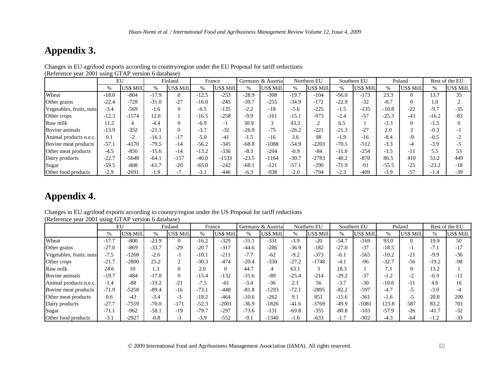# **Appendix 3.**

|                          | EU      |            |         | Finland    |               | France     |         | Germany & Austria |         | Northern EU       |         | Southern EU | Poland  |                | Rest of the EU |            |
|--------------------------|---------|------------|---------|------------|---------------|------------|---------|-------------------|---------|-------------------|---------|-------------|---------|----------------|----------------|------------|
|                          | $\%$    | US\$ Mill. | $\%$    | US\$ Mill. | $\frac{0}{0}$ | US\$ Mill. | $\%$    | US\$ Mill.        | $\%$    | <b>US\$ Mill.</b> | %       | US\$ Mill.  | $\%$    | US\$ Mill.     | %              | US\$ Mill. |
| Wheat                    | $-18.0$ | $-804$     | $-17.9$ | $\theta$   | $-12.5$       | $-253$     | $-28.9$ | $-308$            | $-19.7$ | $-104$            | $-56.0$ | $-173$      | 23.3    | $\theta$       | 13.7           | 35         |
| Other grains             | $-22.4$ | $-728$     | $-31.0$ | $-27$      | $-16.0$       | $-245$     | $-39.7$ | $-255$            | $-34.9$ | $-172$            | $-22.9$ | $-32$       | $-8.7$  | $\overline{0}$ | 1.0            |            |
| Vegetables, fruits, nuts | $-3.4$  | $-569$     | $-1.6$  | $\Omega$   | $-6.5$        | $-135$     | $-2.2$  | $-18$             | $-5.6$  | $-225$            | $-1.5$  | $-135$      | $-10.8$ | $-22$          | $-9.7$         | $-35$      |
| Other crops              | $-12.3$ | $-1574$    | 12.6    |            | $-16.5$       | $-258$     | $-9.9$  | $-161$            | $-15.1$ | $-973$            | $-2.4$  | $-57$       | $-25.3$ | $-43$          | $-16.2$        | $-83$      |
| Raw milk                 | 11.2    | 4          | $-4.4$  | $\Omega$   | $-6.9$        | - 1        | 30.9    |                   | 43.2    |                   | 6.5     |             | $-3.3$  | $\Omega$       | $-1.5$         | $\Omega$   |
| Bovine animals           | $-13.9$ | $-352$     | $-21.1$ | $\Omega$   | $-3.7$        | $-32$      | $-26.9$ | $-75$             | $-26.2$ | $-221$            | $-21.3$ | $-27$       | 2.0     | 3              | $-0.3$         | - 1        |
| Animal products n.e.c.   | 0.1     | $-2$       | $-16.1$ | $-17$      | $-5.0$        | $-41$      | $-1.5$  | $-16$             | 3.6     | 98                | $-1.9$  | $-16$       | $-8.4$  | $-9$           | $-0.5$         | $-2$       |
| Bovine meat products     | $-57.1$ | $-4170$    | $-79.5$ | $-14$      | $-56.2$       | $-345$     | $-68.8$ | $-1088$           | $-54.9$ | $-2203$           | $-70.5$ | $-512$      | $-3.3$  | -4             | $-3.9$         | $-5$       |
| Other meat products      | $-4.5$  | $-850$     | $-15.6$ | $-14$      | $-13.2$       | $-336$     | $-8.3$  | $-204$            | $-0.9$  | $-84$             | $-11.0$ | $-254$      | $-3.5$  | $-11$          | 5.5            | 53         |
| Dairy products           | $-22.7$ | $-5648$    | $-64.1$ | $-157$     | $-40.0$       | $-1533$    | $-23.5$ | $-1164$           | $-30.7$ | $-2783$           | $-40.2$ | $-870$      | 86.5    | 410            | 53.2           | 449        |
| Sugar                    | $-59.5$ | $-808$     | $-61.7$ | $-20$      | $-65.0$       | $-242$     | $-68.1$ | $-121$            | $-57.1$ | $-290$            | $-71.9$ | $-91$       | $-55.5$ | $-25$          | $-23.2$        | $-18$      |
| Other food products      | $-2.9$  | $-2691$    | $-1.9$  | $-1$       | $-3.1$        | $-446$     | $-6.3$  | $-938$            | $-2.0$  | $-794$            | $-2.3$  | $-409$      | $-3.9$  | $-57$          | $-1.4$         | $-39$      |

Changes in EU agrifood exports according to country/region under the EU Proposal for tariff reductions (Reference year 2001 using GTAP version 6 database)

## **Appendix 4.**

Changes in EU agrifood exports according to country/region under the US Proposal for tariff reductions (Reference year 2001 using GTAP version 6 database)

|                          |         | EU         |         | Finland    | France  |            |         | Germany & Austria |         | Northern EU |         | Southern EU |         | Poland     |         | Rest of the EU |
|--------------------------|---------|------------|---------|------------|---------|------------|---------|-------------------|---------|-------------|---------|-------------|---------|------------|---------|----------------|
|                          | %       | US\$ Mill. | $\%$    | US\$ Mill. | %       | US\$ Mill. | $\%$    | US\$ Mill.        | $\%$    | US\$ Mill.  | $\%$    | US\$ Mill.  | $\%$    | US\$ Mill. | %       | US\$ Mill.     |
| Wheat                    | $-17.7$ | $-800$     | $-23.9$ | $\Omega$   | $-16.2$ | $-329$     | $-31.1$ | $-331$            | $-3.9$  | $-20$       | $-54.7$ | $-169$      | 93.0    | $\Omega$   | 19.9    | 50             |
| Other grains             | $-27.0$ | $-869$     | $-33.7$ | $-29$      | $-20.7$ | $-317$     | $-44.6$ | $-286$            | $-36.9$ | $-182$      | $-27.0$ | $-37$       | $-18.5$ | $-1$       | $-7.1$  | $-17$          |
| Vegetables, fruits, nuts | $-7.5$  | 1268       | $-2.6$  | $-1$       | $-10.1$ | $-211$     | $-7.7$  | $-62$             | $-9.2$  | $-373$      | $-6.1$  | $-565$      | $-10.2$ | $-21$      | $-9.9$  | $-36$          |
| Other crops              | $-21.7$ | $-2800$    | 25.2    | ◠          | $-30.3$ | $-474$     | $-20.4$ | $-330$            | $-27.2$ | $-1748$     | $-4.1$  | $-96$       | $-32.7$ | $-56$      | $-19.2$ | $-98$          |
| Raw milk                 | 24.6    | 10         | 1.3     | 0          | 2.0     | $\Omega$   | 44.7    | 4                 | 63.1    | 3           | 18.3    |             | 7.3     | $\Omega$   | 13.2    |                |
| Bovine animals           | $-19.7$ | $-484$     | $-17.0$ | $\Omega$   | $-15.4$ | $-132$     | $-31.6$ | $-89$             | $-25.4$ | $-214$      | $-29.2$ | $-37$       | $-1.2$  | $-2$       | $-6.9$  | $-11$          |
| Animal products n.e.c.   | $-1.4$  | $-88$      | $-19.2$ | $-21$      | $-7.5$  | $-61$      | $-3.4$  | $-36$             | 2.1     | 56          | $-3.7$  | $-30$       | $-10.6$ | $-11$      | 4.6     | 16             |
| Bovine meat products     | $-71.9$ | $-5258$    | $-89.4$ | $-16$      | $-73.1$ | $-448$     | $-81.8$ | $-1293$           | $-72.1$ | $-2895$     | $-82.2$ | $-597$      | $-4.7$  | $-5$       | $-3.0$  | $-4$           |
| Other meat products      | 0.6     | $-43$      | $-3.4$  | $-3$       | $-18.2$ | $-464$     | $-10.6$ | $-262$            | 9.1     | 851         | $-15.6$ | $-361$      | $-1.6$  | $-5$       | 20.8    | 200            |
| Dairy products           | $-27.7$ | $-7559$    | $-70.0$ | $-171$     | $-52.3$ | $-2001$    | $-36.9$ | $-1826$           | $-41.6$ | $-3769$     | $-49.9$ | $-1081$     | 123.8   | 587        | 83.2    | 701            |
| Sugar                    | $-71.1$ | $-962$     | $-58.1$ | $-19$      | $-79.7$ | $-297$     | $-73.6$ | $-131$            | $-69.8$ | $-355$      | $-80.8$ | $-103$      | $-57.9$ | $-26$      | $-41.7$ | $-32$          |
| Other food products      | $-3.1$  | $-2927$    | $-0.8$  | $-3$       | $-3.9$  | $-552$     | $-9.1$  | $-1340$           | $-1.6$  | $-633$      | $-1.7$  | $-302$      | $-4.3$  | $-64$      | $-1.2$  | $-33$          |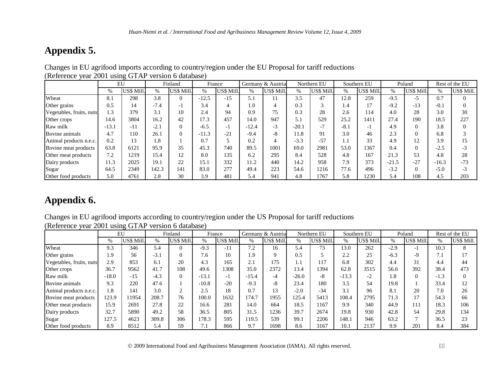# **Appendix 5.**

|                          |         | EU         |               | Finland    | France  |            |         | Germany & Austria |         | Northern EU |        | Southern EU |         | Poland         |         | Rest of the EU |
|--------------------------|---------|------------|---------------|------------|---------|------------|---------|-------------------|---------|-------------|--------|-------------|---------|----------------|---------|----------------|
|                          | $\%$    | US\$ Mill. | $\frac{0}{0}$ | US\$ Mill. | $\%$    | US\$ Mill. | $\%$    | US\$ Mill.        | $\%$    | US\$ Mill.  | %      | US\$ Mill.  | %       | US\$ Mill.     | $\%$    | US\$ Mill.     |
| Wheat                    | 8.1     | 298        | 3.8           | $\Omega$   | $-12.5$ | $-15$      | 5.1     |                   | 3.5     | 47          | 12.8   | 259         | $-9.5$  | $-5$           | 0.7     | $\Omega$       |
| Other grains             | 0.5     | 14         | $-7.4$        | - 1        | 3.4     |            | 0.1     |                   | 0.3     |             | 1.4    | 17          | $-9.2$  | $-13$          | $-0.1$  | $\Omega$       |
| Vegetables, fruits, nuts | 1.3     | 379        | 3.1           | 10         | 2.4     | 94         | 0.9     | 75                | 0.3     | 28          | 2.6    | 114         | 4.0     | 28             | 3.0     | 30             |
| Other crops              | 14.6    | 3804       | 16.2          | 42         | 17.3    | 457        | 14.0    | 947               | 5.1     | 529         | 25.2   | 1411        | 27.4    | 190            | 18.5    | 227            |
| Raw milk                 | $-13.1$ | $-11$      | $-2.1$        |            | $-6.5$  | $-1$       | $-12.4$ | $-3$              | $-20.1$ | $-7$        | $-8.1$ | - 1         | 4.9     | $\overline{0}$ | 3.8     | $\Omega$       |
| Bovine animals           | 4.7     | 110        | 26.1          |            | $-11.3$ | $-21$      | $-9.4$  | $-8$              | 11.8    | 91          | 3.0    | 46          | 2.3     | $\Omega$       | 6.8     |                |
| Animal products n.e.c.   | 0.2     | 13         | 1.8           |            | 0.7     |            | 0.2     |                   | $-3.3$  | $-57$       | 1.1    | 33          | 4.9     | 12             | 3.9     | 15             |
| Bovine meat products     | 63.8    | 6121       | 95.9          | 35         | 45.3    | 740        | 89.5    | 1001              | 69.0    | 2981        | 53.0   | 1367        | 0.4     | $\Omega$       | $-2.5$  | $-3$           |
| Other meat products      | 7.2     | 1219       | 15.4          |            | 8.0     | 135        | 6.2     | 295               | 8.4     | 528         | 4.8    | 167         | 21.3    | 53             | 4.8     | 28             |
| Dairy products           | 11.3    | 2025       | 19.1          | 22         | 15.1    | 332        | 11.2    | 440               | 14.2    | 958         | 7.9    | 373         | $-21.5$ | $-27$          | $-16.3$ | $-73$          |
| Sugar                    | 64.5    | 2349       | 142.3         | 141        | 83.0    | 277        | 49.4    | 223               | 54.6    | 1216        | 77.6   | 496         | $-3.2$  | $\Omega$       | $-5.0$  | $-3$           |
| Other food products      | 5.0     | 4761       | 2.8           | 30         | 3.9     | 481        | 5.4     | 941               | 4.8     | 1767        | 5.8    | 1230        | 5.4     | 108            | 4.5     | 203            |

Changes in EU agrifood imports according to country/region under the EU Proposal for tariff reductions (Reference year 2001 using GTAP version 6 database)

## **Appendix 6.**

Changes in EU agrifood imports according to country/region under the US Proposal for tariff reductions (Reference year 2001 using GTAP version 6 database)

|                          | EU      |            | Finland<br>France |            |            | Germany & Austria |         | Northern EU |         | Southern EU |         | Poland     |        | Rest of the EU |        |            |
|--------------------------|---------|------------|-------------------|------------|------------|-------------------|---------|-------------|---------|-------------|---------|------------|--------|----------------|--------|------------|
|                          | %       | US\$ Mill. | $\frac{0}{0}$     | US\$ Mill. | $\%$       | US\$ Mill.        | $\%$    | US\$ Mill.  | %       | US\$ Mill.  | $\%$    | US\$ Mill. | $\%$   | US\$ Mill.     | $\%$   | US\$ Mill. |
| Wheat                    | 9.3     | 346        | 5.4               | $\Omega$   | $-9.3$     | $-11$             | 7.2     | 16          | 5.4     | 73          | 13.0    | 262        | $-2.9$ | -1             | 10.3   | 8          |
| Other grains             | 1.9     | 56         | $-3.1$            | $\Omega$   | 7.6        | 10                | 1.9     |             | 0.5     |             | 2.2     | 25         | $-6.3$ | $-9$           | 7.1    |            |
| Vegetables, fruits, nuts | 2.9     | 853        | 6.1               | 20         | 4.3        | 165               | 2.1     | 175         | l.1     | 117         | 6.8     | 302        | 4.4    | 31             | 4.4    | 44         |
| Other crops              | 36.7    | 9562       | 41.7              | 108        | 49.6       | 1308              | 35.0    | 2372        | 13.4    | 1394        | 62.8    | 3515       | 56.6   | 392            | 38.4   | 473        |
| Raw milk                 | $-18.0$ | $-15$      | $-4.3$            | $\Omega$   | $-13.1$    | - 1               | $-15.4$ | -4          | $-26.0$ | $-8$        | $-13.3$ | $-2$       | 1.8    | $\Omega$       | $-1.3$ | $\Omega$   |
| Bovine animals           | 9.3     | 220        | 47.6              |            | $-10.8$    | $-20$             | $-9.3$  | $-8$        | 23.4    | 180         | 3.5     | 54         | 19.8   |                | 33.4   | 12         |
| Animal products n.e.c.   | 1.8     | 141        | 3.0               | $\sim$     | 2.5        | 18                | 0.7     | 13          | $-2.0$  | $-34$       | 3.1     | 96         | 8.1    | 20             | 7.0    | 26         |
| Bovine meat products     | 123.9   | 11954      | 208.7             | 76         | 100.0      | 1632              | 174.7   | 1955        | 125.4   | 5413        | 108.4   | 2795       | 71.3   | 17             | 54.3   | 66         |
| Other meat products      | 15.9    | 2691       | 27.8              | 22         | 16.6       | 281               | 14.0    | 664         | 18.5    | 1167        | 9.9     | 340        | 44.9   | 111            | 18.3   | 106        |
| Dairy products           | 32.7    | 5890       | 49.2              | 58         | 36.5       | 805               | 31.5    | 1236        | 39.7    | 2674        | 19.8    | 930        | 42.8   | 54             | 29.8   | 134        |
| Sugar                    | 127.5   | 4623       | 309.8             | 306        | 178.3      | 595               | 119.5   | 539         | 99.1    | 2206        | 148.1   | 946        | 63.2   | 7              | 36.5   | 23         |
| Other food products      | 8.9     | 8512       | 5.4               | 59         | $\sqrt{1}$ | 866               | 9.7     | 1698        | 8.6     | 3167        | 10.1    | 2137       | 9.9    | 201            | 8.4    | 384        |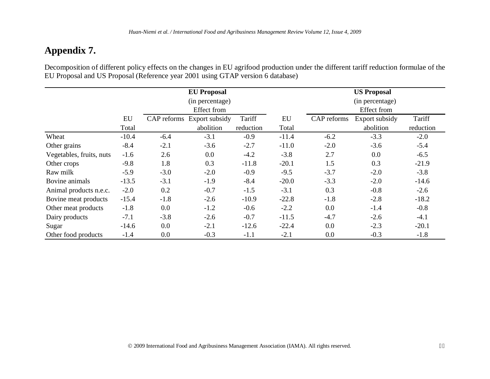# **Appendix 7.**

Decomposition of different policy effects on the changes in EU agrifood production under the different tariff reduction formulae of the EU Proposal and US Proposal (Reference year 2001 using GTAP version 6 database)

|                          |         |             | <b>EU Proposal</b> |           |                 |             | <b>US Proposal</b> |           |
|--------------------------|---------|-------------|--------------------|-----------|-----------------|-------------|--------------------|-----------|
|                          |         |             | (in percentage)    |           | (in percentage) |             |                    |           |
|                          |         |             | <b>Effect</b> from |           | Effect from     |             |                    |           |
|                          | EU      | CAP reforms | Export subsidy     | Tariff    | EU              | CAP reforms | Export subsidy     | Tariff    |
|                          | Total   |             | abolition          | reduction | Total           |             | abolition          | reduction |
| Wheat                    | $-10.4$ | $-6.4$      | $-3.1$             | $-0.9$    | $-11.4$         | $-6.2$      | $-3.3$             | $-2.0$    |
| Other grains             | $-8.4$  | $-2.1$      | $-3.6$             | $-2.7$    | $-11.0$         | $-2.0$      | $-3.6$             | $-5.4$    |
| Vegetables, fruits, nuts | $-1.6$  | 2.6         | 0.0                | $-4.2$    | $-3.8$          | 2.7         | 0.0                | $-6.5$    |
| Other crops              | $-9.8$  | 1.8         | 0.3                | $-11.8$   | $-20.1$         | 1.5         | 0.3                | $-21.9$   |
| Raw milk                 | $-5.9$  | $-3.0$      | $-2.0$             | $-0.9$    | $-9.5$          | $-3.7$      | $-2.0$             | $-3.8$    |
| Bovine animals           | $-13.5$ | $-3.1$      | $-1.9$             | $-8.4$    | $-20.0$         | $-3.3$      | $-2.0$             | $-14.6$   |
| Animal products n.e.c.   | $-2.0$  | 0.2         | $-0.7$             | $-1.5$    | $-3.1$          | 0.3         | $-0.8$             | $-2.6$    |
| Bovine meat products     | $-15.4$ | $-1.8$      | $-2.6$             | $-10.9$   | $-22.8$         | $-1.8$      | $-2.8$             | $-18.2$   |
| Other meat products      | $-1.8$  | 0.0         | $-1.2$             | $-0.6$    | $-2.2$          | 0.0         | $-1.4$             | $-0.8$    |
| Dairy products           | $-7.1$  | $-3.8$      | $-2.6$             | $-0.7$    | $-11.5$         | $-4.7$      | $-2.6$             | $-4.1$    |
| Sugar                    | $-14.6$ | 0.0         | $-2.1$             | $-12.6$   | $-22.4$         | 0.0         | $-2.3$             | $-20.1$   |
| Other food products      | $-1.4$  | 0.0         | $-0.3$             | $-1.1$    | $-2.1$          | 0.0         | $-0.3$             | $-1.8$    |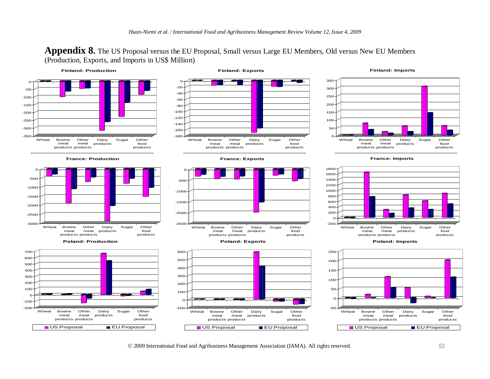**Appendix 8.** The US Proposal versus the EU Proposal, Small versus Large EU Members, Old versus New EU Members (Production, Exports, and Imports in US\$ Million)

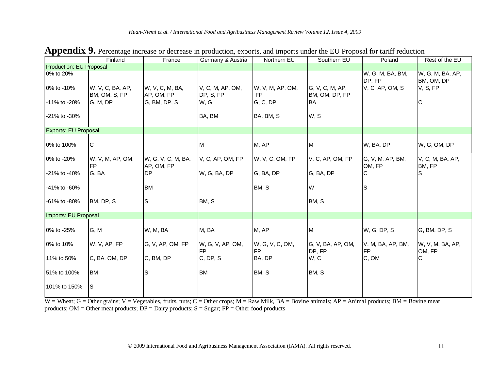|                                | Finland                           | France                           | Germany & Austria             | Northern EU                   | Southern EU                       | Poland                                        | Rest of the EU                             |
|--------------------------------|-----------------------------------|----------------------------------|-------------------------------|-------------------------------|-----------------------------------|-----------------------------------------------|--------------------------------------------|
| <b>Production: EU Proposal</b> |                                   |                                  |                               |                               |                                   |                                               |                                            |
| 0% to 20%<br>0% to -10%        | W, V, C, BA, AP,<br>BM, OM, S, FP | W, V, C, M, BA,<br>AP, OM, FP    | V, C, M, AP, OM,<br>DP, S, FP | W, V, M, AP, OM,<br><b>FP</b> | G, V, C, M, AP,<br>BM, OM, DP, FP | W, G, M, BA, BM,<br>DP, FP<br>V, C, AP, OM, S | W, G, M, BA, AP,<br>BM, OM, DP<br>V, S, FP |
| -11% to -20%                   | G, M, DP                          | G, BM, DP, S                     | W, G                          | G, C, DP                      | <b>BA</b>                         |                                               | C                                          |
| -21% to -30%                   |                                   |                                  | BA, BM                        | BA, BM, S                     | W, S                              |                                               |                                            |
| <b>Exports: EU Proposal</b>    |                                   |                                  |                               |                               |                                   |                                               |                                            |
| 0% to 100%                     | C                                 |                                  | M                             | M, AP                         | M                                 | W, BA, DP                                     | W, G, OM, DP                               |
| 0% to -20%                     | W, V, M, AP, OM,<br><b>FP</b>     | W, G, V, C, M, BA,<br>AP, OM, FP | V, C, AP, OM, FP              | W, V, C, OM, FP               | V, C, AP, OM, FP                  | G, V, M, AP, BM,<br>OM, FP                    | V, C, M, BA, AP,<br>BM, FP                 |
| -21% to -40%                   | G, BA                             | DP                               | W, G, BA, DP                  | G, BA, DP                     | G, BA, DP                         | C                                             | lS                                         |
| -41% to -60%                   |                                   | <b>BM</b>                        |                               | BM, S                         | W                                 | $\mathsf{S}$                                  |                                            |
| -61% to -80%                   | BM, DP, S                         | S                                | BM, S                         |                               | BM, S                             |                                               |                                            |
| Imports: EU Proposal           |                                   |                                  |                               |                               |                                   |                                               |                                            |
| 0% to -25%                     | G, M                              | W, M, BA                         | M, BA                         | M, AP                         | M                                 | W, G, DP, S                                   | G, BM, DP, S                               |
| 0% to 10%                      | W, V, AP, FP                      | G, V, AP, OM, FP                 | W, G, V, AP, OM,<br><b>FP</b> | W, G, V, C, OM,<br><b>FP</b>  | G, V, BA, AP, OM,<br>DP, FP       | V, M, BA, AP, BM,<br><b>FP</b>                | W, V, M, BA, AP,<br>OM, FP                 |
| 11% to 50%                     | C, BA, OM, DP                     | C, BM, DP                        | C, DP, S                      | BA, DP                        | W, C                              | C, OM                                         | $\mathsf{C}$                               |
| 51% to 100%                    | <b>BM</b>                         | S                                | <b>BM</b>                     | BM, S                         | BM, S                             |                                               |                                            |
| 101% to 150%                   | ls                                |                                  |                               |                               |                                   |                                               |                                            |

**Appendix 9.** Percentage increase or decrease in production, exports, and imports under the EU Proposal for tariff reduction

 $W =$  Wheat; G = Other grains; V = Vegetables, fruits, nuts; C = Other crops; M = Raw Milk, BA = Bovine animals; AP = Animal products; BM = Bovine meat products; OM = Other meat products;  $DP =$  Dairy products;  $S =$  Sugar;  $FP =$  Other food products